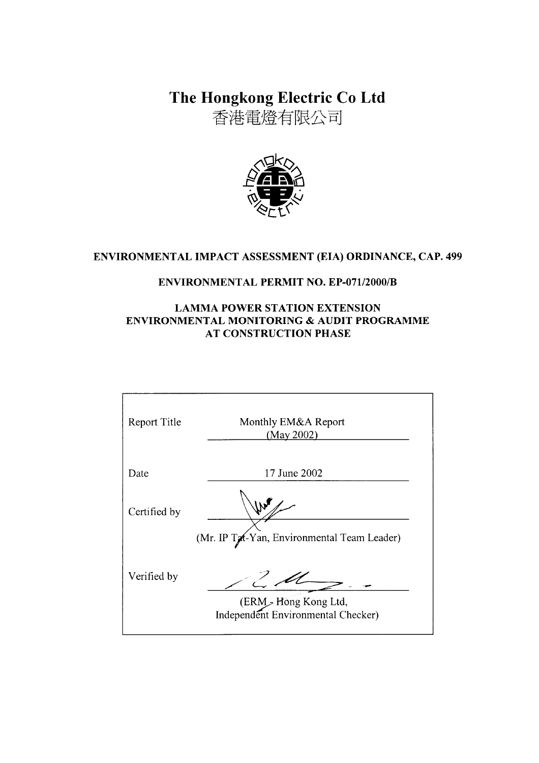The Hongkong Electric Co Ltd

香港電燈有限公司



# ENVIRONMENTAL IMPACT ASSESSMENT (EIA) ORDINANCE, CAP. 499

### ENVIRONMENTAL PERMIT NO. EP-071/2000/B

### **LAMMA POWER STATION EXTENSION** ENVIRONMENTAL MONITORING & AUDIT PROGRAMME **AT CONSTRUCTION PHASE**

| Report Title | Monthly EM&A Report<br>(May 2002)                           |
|--------------|-------------------------------------------------------------|
| Date         | 17 June 2002                                                |
| Certified by |                                                             |
|              | (Mr. IP Tat-Yan, Environmental Team Leader)                 |
| Verified by  |                                                             |
|              | (ERM > Hong Kong Ltd,<br>Independent Environmental Checker) |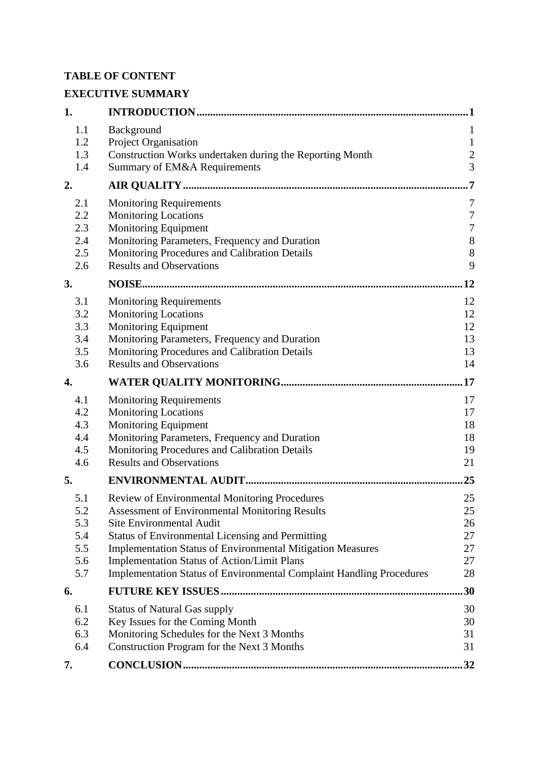# **TABLE OF CONTENT**

# **EXECUTIVE SUMMARY**

| 1.                                            |                                                                                                                                                                                                                                                                                                                                                                                                  | . 1                                                                   |
|-----------------------------------------------|--------------------------------------------------------------------------------------------------------------------------------------------------------------------------------------------------------------------------------------------------------------------------------------------------------------------------------------------------------------------------------------------------|-----------------------------------------------------------------------|
| 1.1<br>1.2<br>1.3                             | Background<br>Project Organisation<br>Construction Works undertaken during the Reporting Month                                                                                                                                                                                                                                                                                                   | 1<br>$\mathbf{1}$<br>$\overline{c}$                                   |
| 1.4                                           | Summary of EM&A Requirements                                                                                                                                                                                                                                                                                                                                                                     | $\overline{3}$                                                        |
| 2.                                            |                                                                                                                                                                                                                                                                                                                                                                                                  | $\overline{7}$                                                        |
| 2.1<br>2.2<br>2.3<br>2.4<br>2.5<br>2.6        | <b>Monitoring Requirements</b><br><b>Monitoring Locations</b><br><b>Monitoring Equipment</b><br>Monitoring Parameters, Frequency and Duration<br>Monitoring Procedures and Calibration Details<br><b>Results and Observations</b>                                                                                                                                                                | 7<br>$\boldsymbol{7}$<br>$\boldsymbol{7}$<br>$8\phantom{1}$<br>8<br>9 |
| 3.                                            |                                                                                                                                                                                                                                                                                                                                                                                                  | .12                                                                   |
| 3.1<br>3.2<br>3.3<br>3.4<br>3.5<br>3.6        | <b>Monitoring Requirements</b><br><b>Monitoring Locations</b><br><b>Monitoring Equipment</b><br>Monitoring Parameters, Frequency and Duration<br>Monitoring Procedures and Calibration Details<br><b>Results and Observations</b>                                                                                                                                                                | 12<br>12<br>12<br>13<br>13<br>14                                      |
| 4.                                            |                                                                                                                                                                                                                                                                                                                                                                                                  | .17                                                                   |
| 4.1<br>4.2<br>4.3<br>4.4<br>4.5<br>4.6        | <b>Monitoring Requirements</b><br><b>Monitoring Locations</b><br><b>Monitoring Equipment</b><br>Monitoring Parameters, Frequency and Duration<br>Monitoring Procedures and Calibration Details<br><b>Results and Observations</b>                                                                                                                                                                | 17<br>17<br>18<br>18<br>19<br>21                                      |
| 5.                                            |                                                                                                                                                                                                                                                                                                                                                                                                  | 25                                                                    |
| 5.1<br>5.2<br>5.3<br>5.4<br>5.5<br>5.6<br>5.7 | Review of Environmental Monitoring Procedures<br><b>Assessment of Environmental Monitoring Results</b><br>Site Environmental Audit<br><b>Status of Environmental Licensing and Permitting</b><br>Implementation Status of Environmental Mitigation Measures<br><b>Implementation Status of Action/Limit Plans</b><br><b>Implementation Status of Environmental Complaint Handling Procedures</b> | 25<br>25<br>26<br>27<br>27<br>27<br>28                                |
| 6.                                            |                                                                                                                                                                                                                                                                                                                                                                                                  | 30                                                                    |
| 6.1<br>6.2<br>6.3<br>6.4                      | <b>Status of Natural Gas supply</b><br>Key Issues for the Coming Month<br>Monitoring Schedules for the Next 3 Months<br>Construction Program for the Next 3 Months                                                                                                                                                                                                                               | 30<br>30<br>31<br>31                                                  |
| 7.                                            |                                                                                                                                                                                                                                                                                                                                                                                                  | 32                                                                    |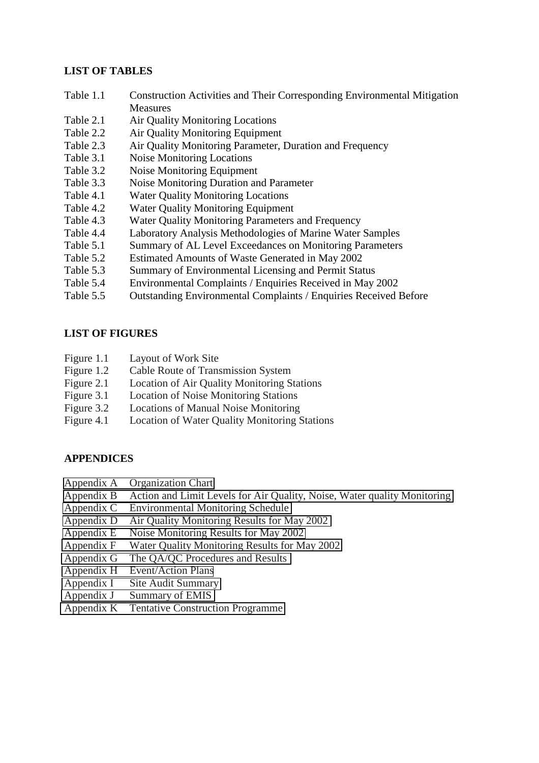#### **LIST OF TABLES**

- Table 1.1 Construction Activities and Their Corresponding Environmental Mitigation **Measures**
- Table 2.1 Air Quality Monitoring Locations
- Table 2.2 Air Quality Monitoring Equipment
- Table 2.3 Air Quality Monitoring Parameter, Duration and Frequency
- Table 3.1 Noise Monitoring Locations
- Table 3.2 Noise Monitoring Equipment
- Table 3.3 Noise Monitoring Duration and Parameter
- Table 4.1 Water Quality Monitoring Locations
- Table 4.2 Water Quality Monitoring Equipment
- Table 4.3 Water Quality Monitoring Parameters and Frequency
- Table 4.4 Laboratory Analysis Methodologies of Marine Water Samples
- Table 5.1 Summary of AL Level Exceedances on Monitoring Parameters
- Table 5.2 Estimated Amounts of Waste Generated in May 2002
- Table 5.3 Summary of Environmental Licensing and Permit Status
- Table 5.4 Environmental Complaints / Enquiries Received in May 2002
- Table 5.5 Outstanding Environmental Complaints / Enquiries Received Before

#### **LIST OF FIGURES**

- Figure 1.1 Layout of Work Site
- Figure 1.2 Cable Route of Transmission System
- Figure 2.1 Location of Air Quality Monitoring Stations
- Figure 3.1 Location of Noise Monitoring Stations
- Figure 3.2 Locations of Manual Noise Monitoring
- Figure 4.1 Location of Water Quality Monitoring Stations

### **APPENDICES**

- Appendix A Organization Chart
- Appendix B Action and Limit Levels for Air Quality, Noise, Water quality Monitoring
- Appendix C Environmental Monitoring Schedule
- Appendix D Air Quality Monitoring Results for May 2002
- Appendix E Noise Monitoring Results for May 2002
- Appendix F Water Quality Monitoring Results for May 2002
- Appendix G The QA/QC Procedures and Results
- Appendix H Event/Action Plans
- Appendix I Site Audit Summary
- Appendix J Summary of EMIS
- Appendix K Tentative Construction Programme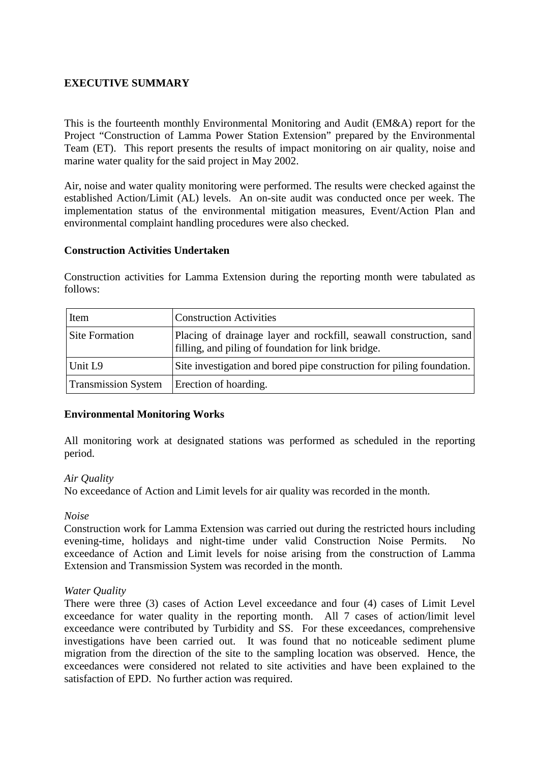## **EXECUTIVE SUMMARY**

This is the fourteenth monthly Environmental Monitoring and Audit (EM&A) report for the Project "Construction of Lamma Power Station Extension" prepared by the Environmental Team (ET). This report presents the results of impact monitoring on air quality, noise and marine water quality for the said project in May 2002.

Air, noise and water quality monitoring were performed. The results were checked against the established Action/Limit (AL) levels. An on-site audit was conducted once per week. The implementation status of the environmental mitigation measures, Event/Action Plan and environmental complaint handling procedures were also checked.

#### **Construction Activities Undertaken**

Construction activities for Lamma Extension during the reporting month were tabulated as follows:

| Item                       | <b>Construction Activities</b>                                                                                           |
|----------------------------|--------------------------------------------------------------------------------------------------------------------------|
| Site Formation             | Placing of drainage layer and rockfill, seawall construction, sand<br>filling, and piling of foundation for link bridge. |
| Unit L9                    | Site investigation and bored pipe construction for piling foundation.                                                    |
| <b>Transmission System</b> | Erection of hoarding.                                                                                                    |

### **Environmental Monitoring Works**

All monitoring work at designated stations was performed as scheduled in the reporting period.

#### *Air Quality*

No exceedance of Action and Limit levels for air quality was recorded in the month.

#### *Noise*

Construction work for Lamma Extension was carried out during the restricted hours including evening-time, holidays and night-time under valid Construction Noise Permits. No exceedance of Action and Limit levels for noise arising from the construction of Lamma Extension and Transmission System was recorded in the month.

#### *Water Quality*

There were three (3) cases of Action Level exceedance and four (4) cases of Limit Level exceedance for water quality in the reporting month. All 7 cases of action/limit level exceedance were contributed by Turbidity and SS. For these exceedances, comprehensive investigations have been carried out. It was found that no noticeable sediment plume migration from the direction of the site to the sampling location was observed. Hence, the exceedances were considered not related to site activities and have been explained to the satisfaction of EPD. No further action was required.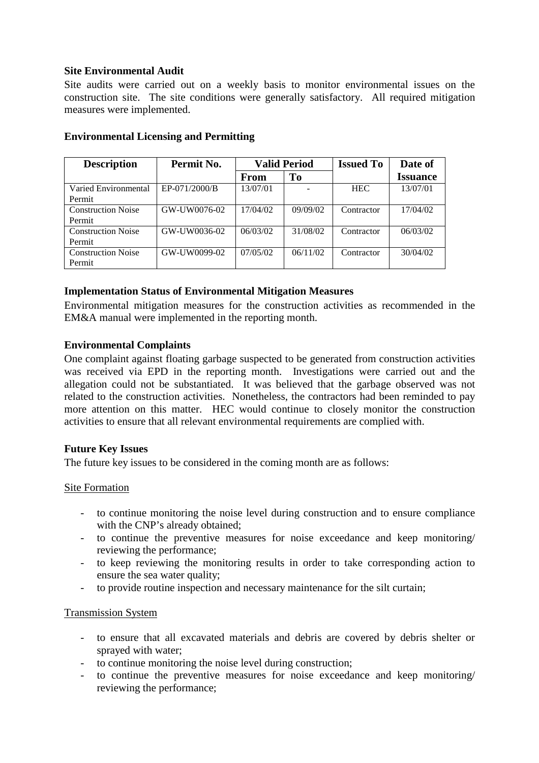### **Site Environmental Audit**

Site audits were carried out on a weekly basis to monitor environmental issues on the construction site. The site conditions were generally satisfactory. All required mitigation measures were implemented.

| <b>Description</b>        | Permit No.    | <b>Valid Period</b> |                | <b>Issued To</b> | Date of         |
|---------------------------|---------------|---------------------|----------------|------------------|-----------------|
|                           |               | <b>From</b>         | T <sub>0</sub> |                  | <b>Issuance</b> |
| Varied Environmental      | EP-071/2000/B | 13/07/01            |                | <b>HEC</b>       | 13/07/01        |
| Permit                    |               |                     |                |                  |                 |
| <b>Construction Noise</b> | GW-UW0076-02  | 17/04/02            | 09/09/02       | Contractor       | 17/04/02        |
| Permit                    |               |                     |                |                  |                 |
| <b>Construction Noise</b> | GW-UW0036-02  | 06/03/02            | 31/08/02       | Contractor       | 06/03/02        |
| Permit                    |               |                     |                |                  |                 |
| <b>Construction Noise</b> | GW-UW0099-02  | 07/05/02            | 06/11/02       | Contractor       | 30/04/02        |
| Permit                    |               |                     |                |                  |                 |

## **Environmental Licensing and Permitting**

### **Implementation Status of Environmental Mitigation Measures**

Environmental mitigation measures for the construction activities as recommended in the EM&A manual were implemented in the reporting month.

#### **Environmental Complaints**

One complaint against floating garbage suspected to be generated from construction activities was received via EPD in the reporting month. Investigations were carried out and the allegation could not be substantiated. It was believed that the garbage observed was not related to the construction activities. Nonetheless, the contractors had been reminded to pay more attention on this matter. HEC would continue to closely monitor the construction activities to ensure that all relevant environmental requirements are complied with.

#### **Future Key Issues**

The future key issues to be considered in the coming month are as follows:

#### Site Formation

- to continue monitoring the noise level during construction and to ensure compliance with the CNP's already obtained:
- to continue the preventive measures for noise exceedance and keep monitoring/ reviewing the performance;
- to keep reviewing the monitoring results in order to take corresponding action to ensure the sea water quality;
- to provide routine inspection and necessary maintenance for the silt curtain;

#### Transmission System

- to ensure that all excavated materials and debris are covered by debris shelter or sprayed with water;
- to continue monitoring the noise level during construction;
- to continue the preventive measures for noise exceedance and keep monitoring/ reviewing the performance;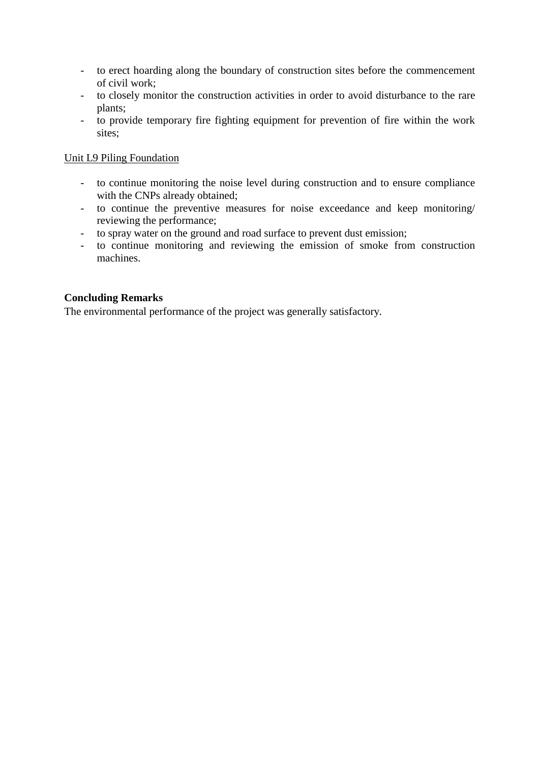- to erect hoarding along the boundary of construction sites before the commencement of civil work;
- to closely monitor the construction activities in order to avoid disturbance to the rare plants;
- to provide temporary fire fighting equipment for prevention of fire within the work sites;

### Unit L9 Piling Foundation

- to continue monitoring the noise level during construction and to ensure compliance with the CNPs already obtained;
- to continue the preventive measures for noise exceedance and keep monitoring/ reviewing the performance;
- to spray water on the ground and road surface to prevent dust emission;
- to continue monitoring and reviewing the emission of smoke from construction machines.

### **Concluding Remarks**

The environmental performance of the project was generally satisfactory.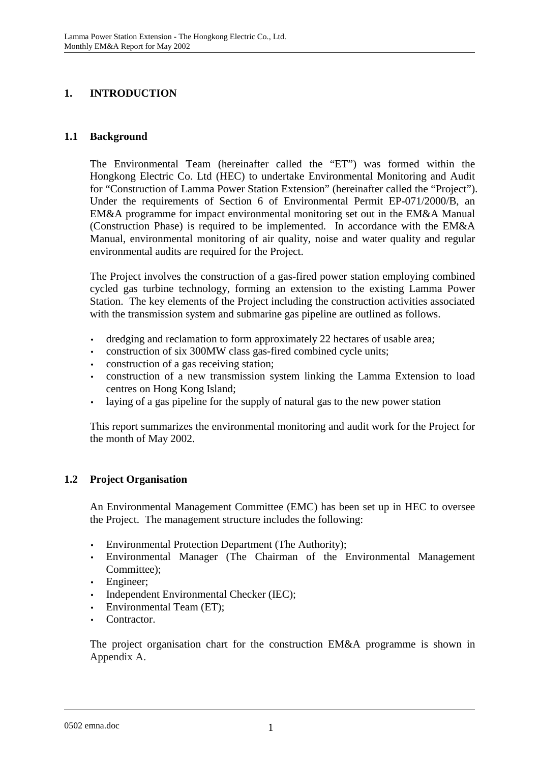# **1. INTRODUCTION**

## **1.1 Background**

The Environmental Team (hereinafter called the "ET") was formed within the Hongkong Electric Co. Ltd (HEC) to undertake Environmental Monitoring and Audit for "Construction of Lamma Power Station Extension" (hereinafter called the "Project"). Under the requirements of Section 6 of Environmental Permit EP-071/2000/B, an EM&A programme for impact environmental monitoring set out in the EM&A Manual (Construction Phase) is required to be implemented. In accordance with the EM&A Manual, environmental monitoring of air quality, noise and water quality and regular environmental audits are required for the Project.

The Project involves the construction of a gas-fired power station employing combined cycled gas turbine technology, forming an extension to the existing Lamma Power Station. The key elements of the Project including the construction activities associated with the transmission system and submarine gas pipeline are outlined as follows.

- dredging and reclamation to form approximately 22 hectares of usable area;
- construction of six 300MW class gas-fired combined cycle units;
- construction of a gas receiving station;
- construction of a new transmission system linking the Lamma Extension to load centres on Hong Kong Island;
- laying of a gas pipeline for the supply of natural gas to the new power station

This report summarizes the environmental monitoring and audit work for the Project for the month of May 2002.

# **1.2 Project Organisation**

An Environmental Management Committee (EMC) has been set up in HEC to oversee the Project. The management structure includes the following:

- Environmental Protection Department (The Authority);
- Environmental Manager (The Chairman of the Environmental Management Committee);
- Engineer:
- Independent Environmental Checker (IEC);
- Environmental Team (ET);
- Contractor.

The project organisation chart for the construction EM&A programme is shown in Appendix A.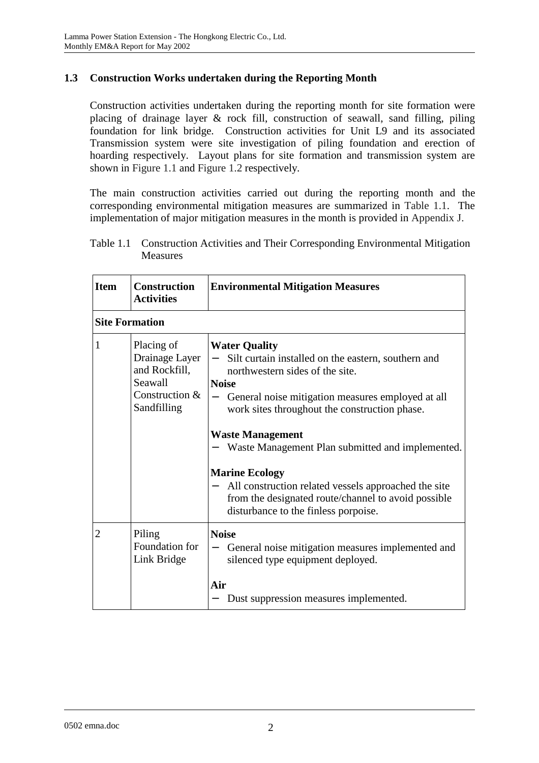## **1.3 Construction Works undertaken during the Reporting Month**

Construction activities undertaken during the reporting month for site formation were placing of drainage layer & rock fill, construction of seawall, sand filling, piling foundation for link bridge. Construction activities for Unit L9 and its associated Transmission system were site investigation of piling foundation and erection of hoarding respectively. Layout plans for site formation and transmission system are shown in Figure 1.1 and Figure 1.2 respectively.

The main construction activities carried out during the reporting month and the corresponding environmental mitigation measures are summarized in Table 1.1. The implementation of major mitigation measures in the month is provided in Appendix J.

Table 1.1 Construction Activities and Their Corresponding Environmental Mitigation Measures

| <b>Item</b>    | <b>Construction</b><br><b>Activities</b>                                                  | <b>Environmental Mitigation Measures</b>                                                                                                                                                                                                                                                                                                                                                                                                                                                            |
|----------------|-------------------------------------------------------------------------------------------|-----------------------------------------------------------------------------------------------------------------------------------------------------------------------------------------------------------------------------------------------------------------------------------------------------------------------------------------------------------------------------------------------------------------------------------------------------------------------------------------------------|
|                | <b>Site Formation</b>                                                                     |                                                                                                                                                                                                                                                                                                                                                                                                                                                                                                     |
| $\mathbf{1}$   | Placing of<br>Drainage Layer<br>and Rockfill,<br>Seawall<br>Construction &<br>Sandfilling | <b>Water Quality</b><br>Silt curtain installed on the eastern, southern and<br>northwestern sides of the site.<br><b>Noise</b><br>General noise mitigation measures employed at all<br>work sites throughout the construction phase.<br><b>Waste Management</b><br>Waste Management Plan submitted and implemented.<br><b>Marine Ecology</b><br>All construction related vessels approached the site<br>from the designated route/channel to avoid possible<br>disturbance to the finless porpoise. |
| $\overline{2}$ | Piling<br>Foundation for<br>Link Bridge                                                   | <b>Noise</b><br>General noise mitigation measures implemented and<br>silenced type equipment deployed.<br>Air<br>Dust suppression measures implemented.                                                                                                                                                                                                                                                                                                                                             |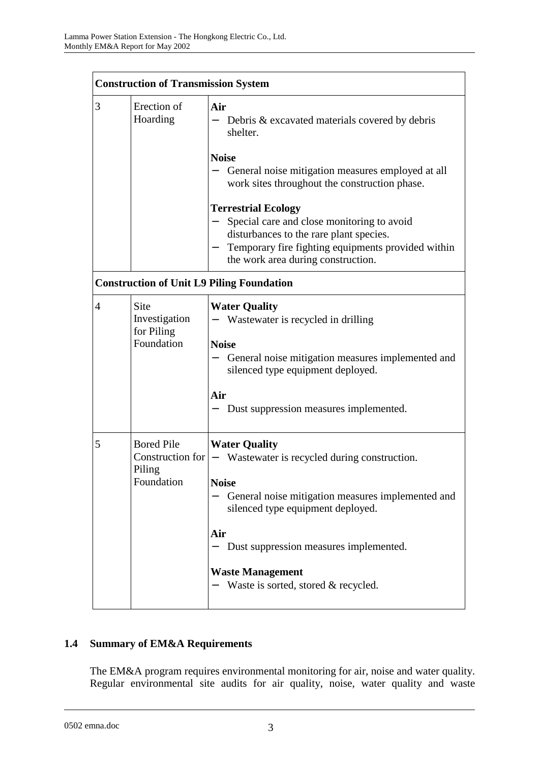|                | <b>Construction of Transmission System</b>                    |                                                                                                                                                                                                                                                                                                           |  |  |
|----------------|---------------------------------------------------------------|-----------------------------------------------------------------------------------------------------------------------------------------------------------------------------------------------------------------------------------------------------------------------------------------------------------|--|--|
| 3              | Erection of<br>Hoarding                                       | Air<br>Debris & excavated materials covered by debris<br>shelter.                                                                                                                                                                                                                                         |  |  |
|                |                                                               | <b>Noise</b><br>General noise mitigation measures employed at all<br>work sites throughout the construction phase.                                                                                                                                                                                        |  |  |
|                |                                                               | <b>Terrestrial Ecology</b><br>Special care and close monitoring to avoid<br>disturbances to the rare plant species.<br>Temporary fire fighting equipments provided within<br>the work area during construction.                                                                                           |  |  |
|                |                                                               | <b>Construction of Unit L9 Piling Foundation</b>                                                                                                                                                                                                                                                          |  |  |
| $\overline{4}$ | Site<br>Investigation<br>for Piling<br>Foundation             | <b>Water Quality</b><br>Wastewater is recycled in drilling<br><b>Noise</b><br>General noise mitigation measures implemented and<br>silenced type equipment deployed.<br>Air<br>Dust suppression measures implemented.                                                                                     |  |  |
| 5              | <b>Bored Pile</b><br>Construction for<br>Piling<br>Foundation | <b>Water Quality</b><br>Wastewater is recycled during construction.<br>$ \,$<br><b>Noise</b><br>General noise mitigation measures implemented and<br>silenced type equipment deployed.<br>Air<br>Dust suppression measures implemented.<br><b>Waste Management</b><br>Waste is sorted, stored & recycled. |  |  |

# **1.4 Summary of EM&A Requirements**

The EM&A program requires environmental monitoring for air, noise and water quality. Regular environmental site audits for air quality, noise, water quality and waste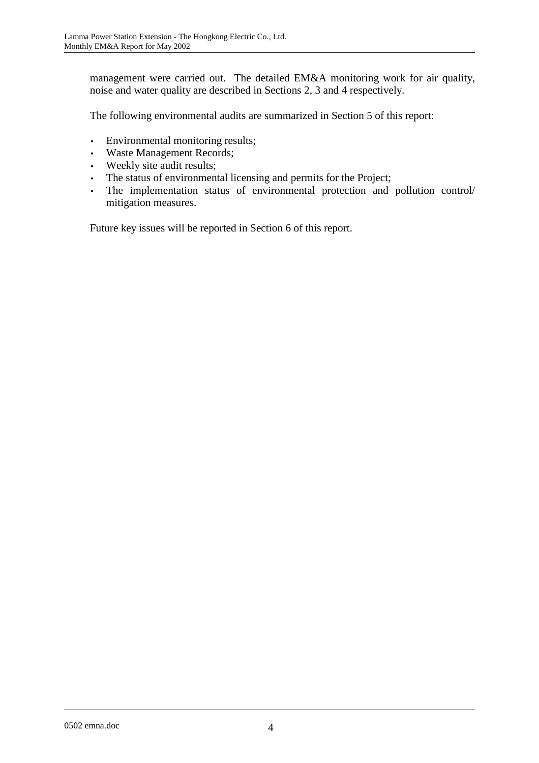management were carried out. The detailed EM&A monitoring work for air quality, noise and water quality are described in Sections 2, 3 and 4 respectively.

The following environmental audits are summarized in Section 5 of this report:

- Environmental monitoring results;
- Waste Management Records;
- Weekly site audit results;
- The status of environmental licensing and permits for the Project;
- The implementation status of environmental protection and pollution control/ mitigation measures.

Future key issues will be reported in Section 6 of this report.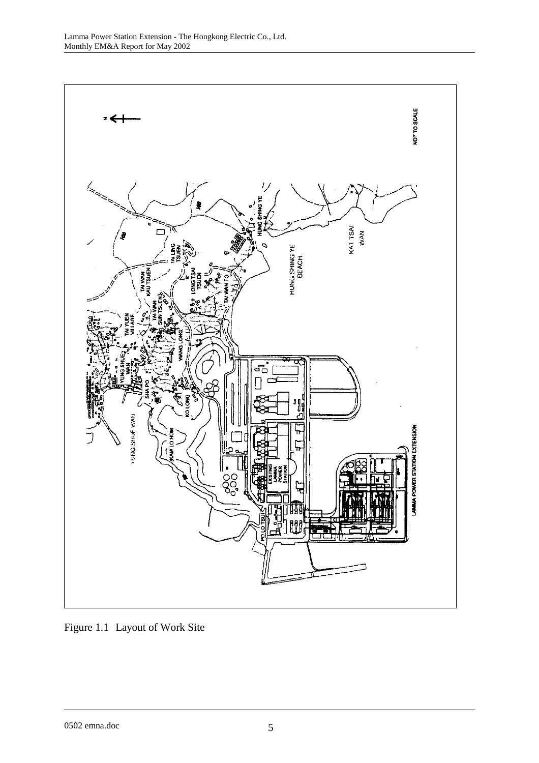

Figure 1.1 Layout of Work Site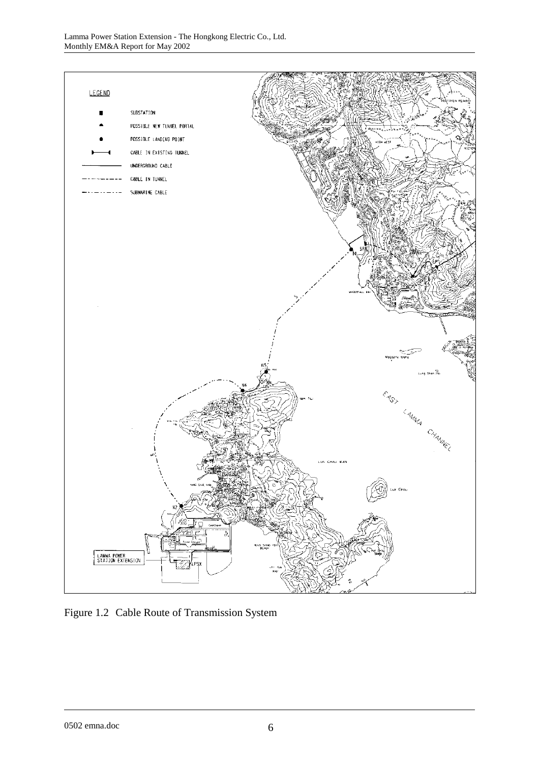

Figure 1.2 Cable Route of Transmission System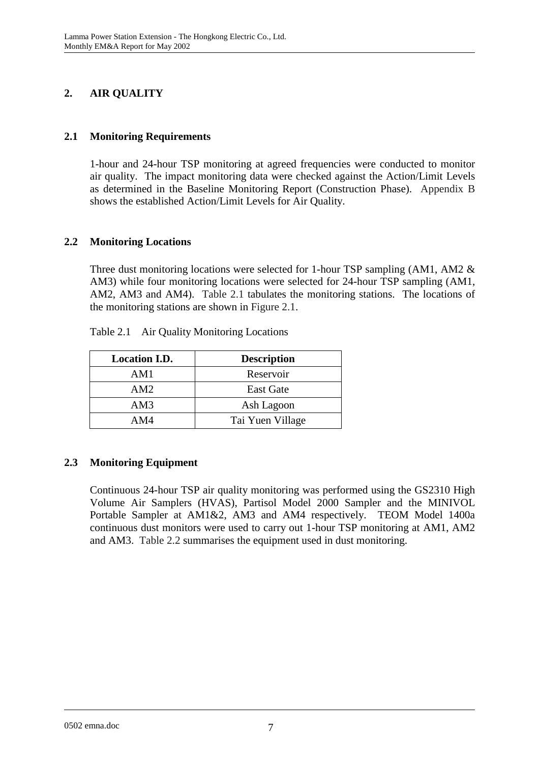# **2. AIR QUALITY**

# **2.1 Monitoring Requirements**

1-hour and 24-hour TSP monitoring at agreed frequencies were conducted to monitor air quality. The impact monitoring data were checked against the Action/Limit Levels as determined in the Baseline Monitoring Report (Construction Phase). Appendix B shows the established Action/Limit Levels for Air Quality.

## **2.2 Monitoring Locations**

Three dust monitoring locations were selected for 1-hour TSP sampling (AM1, AM2 & AM3) while four monitoring locations were selected for 24-hour TSP sampling (AM1, AM2, AM3 and AM4). Table 2.1 tabulates the monitoring stations. The locations of the monitoring stations are shown in Figure 2.1.

| <b>Location I.D.</b> | <b>Description</b> |
|----------------------|--------------------|
| AM1                  | Reservoir          |
| AM2.                 | <b>East Gate</b>   |
| AM3                  | Ash Lagoon         |
| AM4                  | Tai Yuen Village   |

Table 2.1 Air Quality Monitoring Locations

# **2.3 Monitoring Equipment**

Continuous 24-hour TSP air quality monitoring was performed using the GS2310 High Volume Air Samplers (HVAS), Partisol Model 2000 Sampler and the MINIVOL Portable Sampler at AM1&2, AM3 and AM4 respectively. TEOM Model 1400a continuous dust monitors were used to carry out 1-hour TSP monitoring at AM1, AM2 and AM3. Table 2.2 summarises the equipment used in dust monitoring.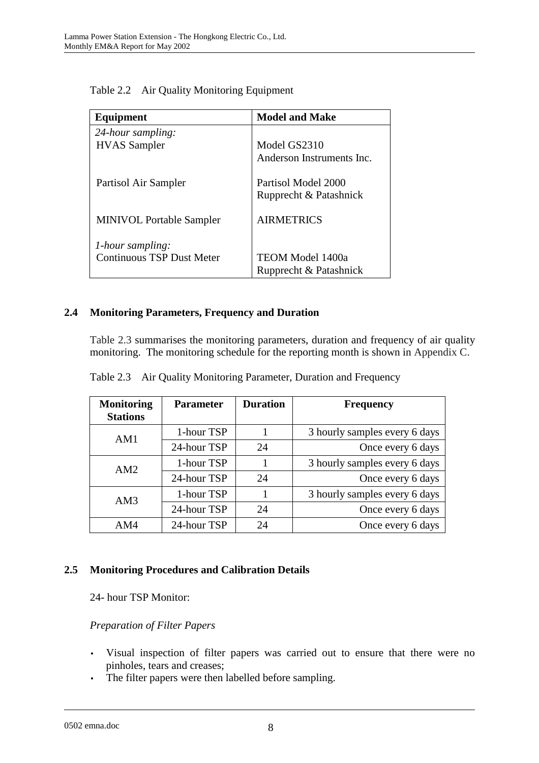| Equipment                        | <b>Model and Make</b>     |
|----------------------------------|---------------------------|
| 24-hour sampling:                |                           |
| <b>HVAS</b> Sampler              | Model GS2310              |
|                                  | Anderson Instruments Inc. |
| Partisol Air Sampler             | Partisol Model 2000       |
|                                  | Rupprecht & Patashnick    |
| <b>MINIVOL Portable Sampler</b>  | <b>AIRMETRICS</b>         |
|                                  |                           |
| 1-hour sampling:                 |                           |
| <b>Continuous TSP Dust Meter</b> | <b>TEOM Model 1400a</b>   |
|                                  | Rupprecht & Patashnick    |

Table 2.2 Air Quality Monitoring Equipment

# **2.4 Monitoring Parameters, Frequency and Duration**

Table 2.3 summarises the monitoring parameters, duration and frequency of air quality monitoring. The monitoring schedule for the reporting month is shown in Appendix C.

| <b>Monitoring</b><br><b>Stations</b> | <b>Parameter</b> | <b>Duration</b> | <b>Frequency</b>              |
|--------------------------------------|------------------|-----------------|-------------------------------|
| AM1                                  | 1-hour TSP       |                 | 3 hourly samples every 6 days |
|                                      | 24-hour TSP      | 24              | Once every 6 days             |
| AM2                                  | 1-hour TSP       |                 | 3 hourly samples every 6 days |
|                                      | 24-hour TSP      | 24              | Once every 6 days             |
| AM3                                  | 1-hour TSP       |                 | 3 hourly samples every 6 days |
|                                      | 24-hour TSP      | 24              | Once every 6 days             |
| AM4                                  | 24-hour TSP      | 24              | Once every 6 days             |

Table 2.3 Air Quality Monitoring Parameter, Duration and Frequency

### **2.5 Monitoring Procedures and Calibration Details**

24- hour TSP Monitor:

### *Preparation of Filter Papers*

- Visual inspection of filter papers was carried out to ensure that there were no pinholes, tears and creases;
- The filter papers were then labelled before sampling.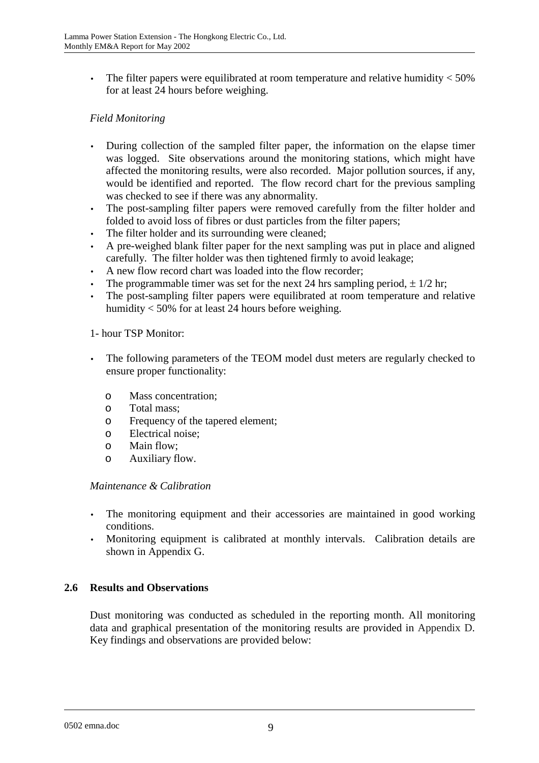• The filter papers were equilibrated at room temperature and relative humidity  $<$  50% for at least 24 hours before weighing.

## *Field Monitoring*

- During collection of the sampled filter paper, the information on the elapse timer was logged. Site observations around the monitoring stations, which might have affected the monitoring results, were also recorded. Major pollution sources, if any, would be identified and reported. The flow record chart for the previous sampling was checked to see if there was any abnormality.
- The post-sampling filter papers were removed carefully from the filter holder and folded to avoid loss of fibres or dust particles from the filter papers;
- The filter holder and its surrounding were cleaned;
- A pre-weighed blank filter paper for the next sampling was put in place and aligned carefully. The filter holder was then tightened firmly to avoid leakage;
- A new flow record chart was loaded into the flow recorder;
- The programmable timer was set for the next 24 hrs sampling period,  $\pm 1/2$  hr;
- The post-sampling filter papers were equilibrated at room temperature and relative humidity < 50% for at least 24 hours before weighing.

#### 1- hour TSP Monitor:

- The following parameters of the TEOM model dust meters are regularly checked to ensure proper functionality:
	- o Mass concentration;
	- o Total mass;
	- o Frequency of the tapered element;
	- o Electrical noise;
	- o Main flow;
	- o Auxiliary flow.

#### *Maintenance & Calibration*

- The monitoring equipment and their accessories are maintained in good working conditions.
- Monitoring equipment is calibrated at monthly intervals. Calibration details are shown in Appendix G.

### **2.6 Results and Observations**

Dust monitoring was conducted as scheduled in the reporting month. All monitoring data and graphical presentation of the monitoring results are provided in Appendix D. Key findings and observations are provided below: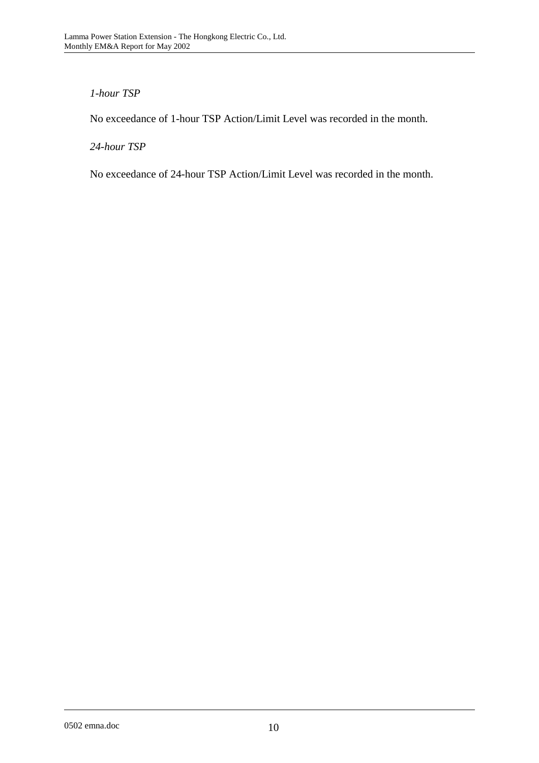## *1-hour TSP*

No exceedance of 1-hour TSP Action/Limit Level was recorded in the month.

*24-hour TSP* 

No exceedance of 24-hour TSP Action/Limit Level was recorded in the month.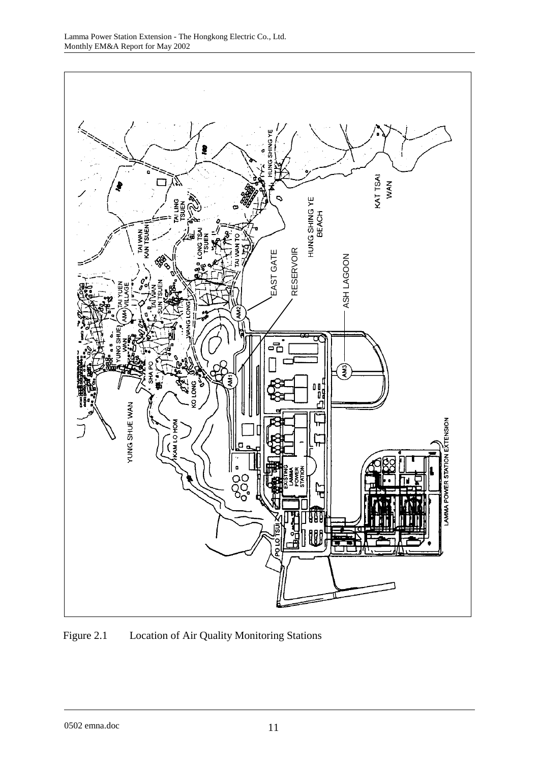

Figure 2.1 Location of Air Quality Monitoring Stations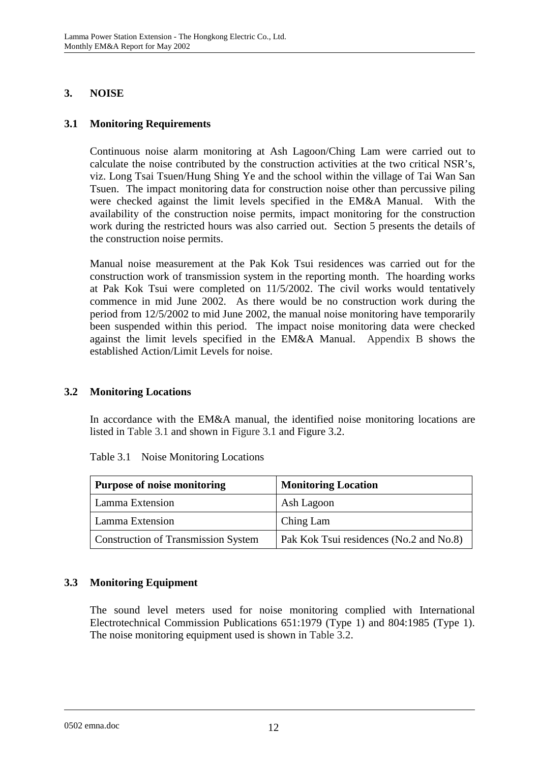# **3. NOISE**

## **3.1 Monitoring Requirements**

Continuous noise alarm monitoring at Ash Lagoon/Ching Lam were carried out to calculate the noise contributed by the construction activities at the two critical NSR's, viz. Long Tsai Tsuen/Hung Shing Ye and the school within the village of Tai Wan San Tsuen. The impact monitoring data for construction noise other than percussive piling were checked against the limit levels specified in the EM&A Manual. With the availability of the construction noise permits, impact monitoring for the construction work during the restricted hours was also carried out. Section 5 presents the details of the construction noise permits.

Manual noise measurement at the Pak Kok Tsui residences was carried out for the construction work of transmission system in the reporting month. The hoarding works at Pak Kok Tsui were completed on 11/5/2002. The civil works would tentatively commence in mid June 2002. As there would be no construction work during the period from 12/5/2002 to mid June 2002, the manual noise monitoring have temporarily been suspended within this period. The impact noise monitoring data were checked against the limit levels specified in the EM&A Manual. Appendix B shows the established Action/Limit Levels for noise.

### **3.2 Monitoring Locations**

In accordance with the EM&A manual, the identified noise monitoring locations are listed in Table 3.1 and shown in Figure 3.1 and Figure 3.2.

| <b>Purpose of noise monitoring</b>         | <b>Monitoring Location</b>              |
|--------------------------------------------|-----------------------------------------|
| Lamma Extension                            | Ash Lagoon                              |
| Lamma Extension                            | Ching Lam                               |
| <b>Construction of Transmission System</b> | Pak Kok Tsui residences (No.2 and No.8) |

Table 3.1 Noise Monitoring Locations

# **3.3 Monitoring Equipment**

The sound level meters used for noise monitoring complied with International Electrotechnical Commission Publications 651:1979 (Type 1) and 804:1985 (Type 1). The noise monitoring equipment used is shown in Table 3.2.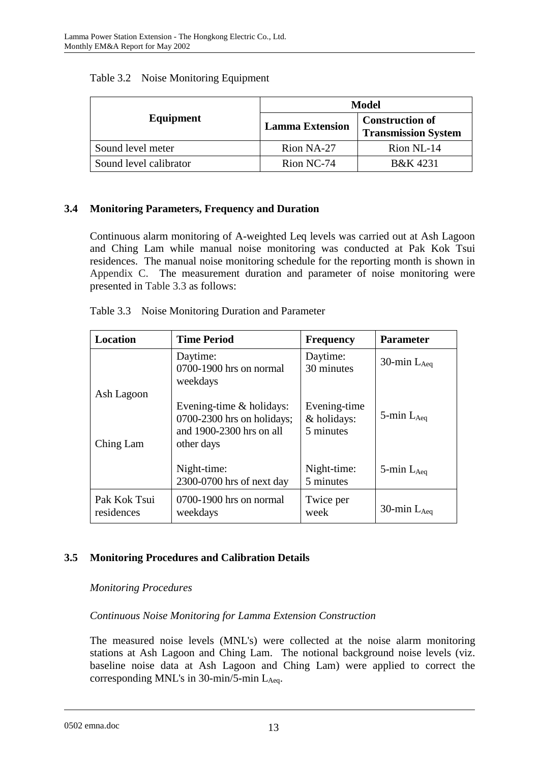|                        | Model                  |                                                      |  |
|------------------------|------------------------|------------------------------------------------------|--|
| Equipment              | <b>Lamma Extension</b> | <b>Construction of</b><br><b>Transmission System</b> |  |
| Sound level meter      | Rion NA-27             | Rion NL-14                                           |  |
| Sound level calibrator | Rion NC-74             | B&K 4231                                             |  |

### Table 3.2 Noise Monitoring Equipment

## **3.4 Monitoring Parameters, Frequency and Duration**

Continuous alarm monitoring of A-weighted Leq levels was carried out at Ash Lagoon and Ching Lam while manual noise monitoring was conducted at Pak Kok Tsui residences. The manual noise monitoring schedule for the reporting month is shown in Appendix C. The measurement duration and parameter of noise monitoring were presented in Table 3.3 as follows:

| Table 3.3 Noise Monitoring Duration and Parameter |  |
|---------------------------------------------------|--|
|---------------------------------------------------|--|

| <b>Location</b>            | <b>Time Period</b>                                                                                 | <b>Frequency</b>         | <b>Parameter</b>   |
|----------------------------|----------------------------------------------------------------------------------------------------|--------------------------|--------------------|
|                            | Daytime:<br>0700-1900 hrs on normal<br>weekdays                                                    | Daytime:<br>30 minutes   | 30-min $L_{Aea}$   |
| Ash Lagoon<br>Ching Lam    | Evening-time $&$ holidays:<br>0700-2300 hrs on holidays;<br>and 1900-2300 hrs on all<br>other days |                          | $5$ -min $L_{Aea}$ |
|                            | Night-time:<br>2300-0700 hrs of next day                                                           | Night-time:<br>5 minutes | $5$ -min $L_{Aeq}$ |
| Pak Kok Tsui<br>residences | 0700-1900 hrs on normal<br>weekdays                                                                | Twice per<br>week        | 30-min $L_{Aea}$   |

# **3.5 Monitoring Procedures and Calibration Details**

### *Monitoring Procedures*

### *Continuous Noise Monitoring for Lamma Extension Construction*

The measured noise levels (MNL's) were collected at the noise alarm monitoring stations at Ash Lagoon and Ching Lam. The notional background noise levels (viz. baseline noise data at Ash Lagoon and Ching Lam) were applied to correct the corresponding MNL's in  $30$ -min/5-min L<sub>Aeq</sub>.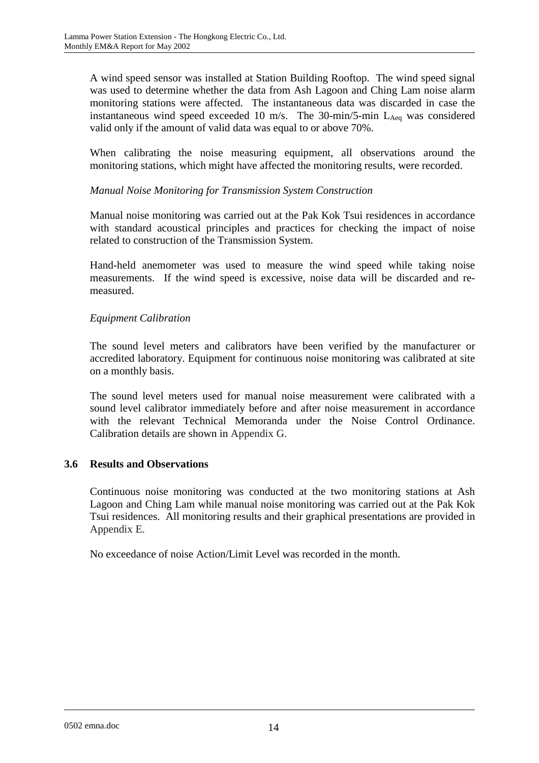A wind speed sensor was installed at Station Building Rooftop. The wind speed signal was used to determine whether the data from Ash Lagoon and Ching Lam noise alarm monitoring stations were affected. The instantaneous data was discarded in case the instantaneous wind speed exceeded 10 m/s. The 30-min/5-min  $L_{A_{eq}}$  was considered valid only if the amount of valid data was equal to or above 70%.

When calibrating the noise measuring equipment, all observations around the monitoring stations, which might have affected the monitoring results, were recorded.

### *Manual Noise Monitoring for Transmission System Construction*

Manual noise monitoring was carried out at the Pak Kok Tsui residences in accordance with standard acoustical principles and practices for checking the impact of noise related to construction of the Transmission System.

Hand-held anemometer was used to measure the wind speed while taking noise measurements. If the wind speed is excessive, noise data will be discarded and remeasured.

#### *Equipment Calibration*

The sound level meters and calibrators have been verified by the manufacturer or accredited laboratory. Equipment for continuous noise monitoring was calibrated at site on a monthly basis.

The sound level meters used for manual noise measurement were calibrated with a sound level calibrator immediately before and after noise measurement in accordance with the relevant Technical Memoranda under the Noise Control Ordinance. Calibration details are shown in Appendix G.

#### **3.6 Results and Observations**

Continuous noise monitoring was conducted at the two monitoring stations at Ash Lagoon and Ching Lam while manual noise monitoring was carried out at the Pak Kok Tsui residences. All monitoring results and their graphical presentations are provided in Appendix E.

No exceedance of noise Action/Limit Level was recorded in the month.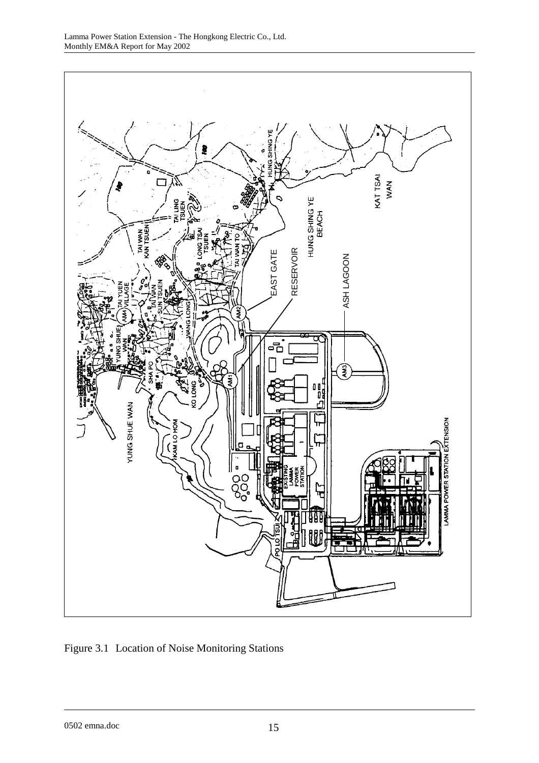

Figure 3.1 Location of Noise Monitoring Stations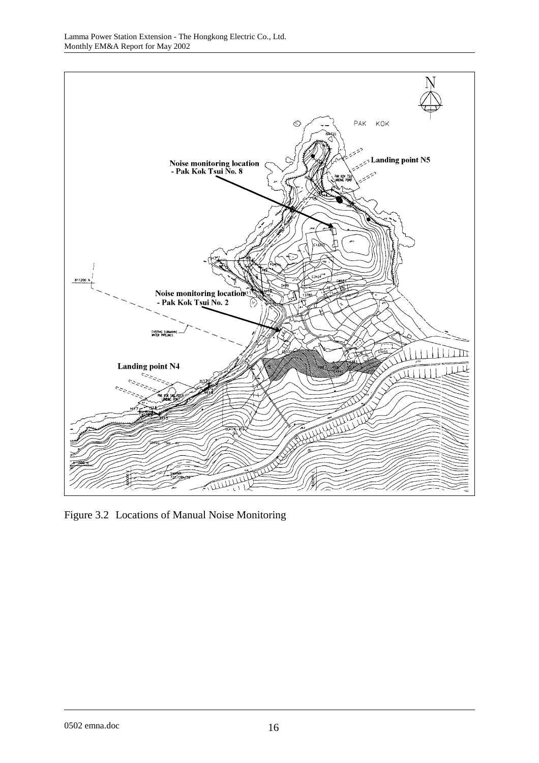

Figure 3.2 Locations of Manual Noise Monitoring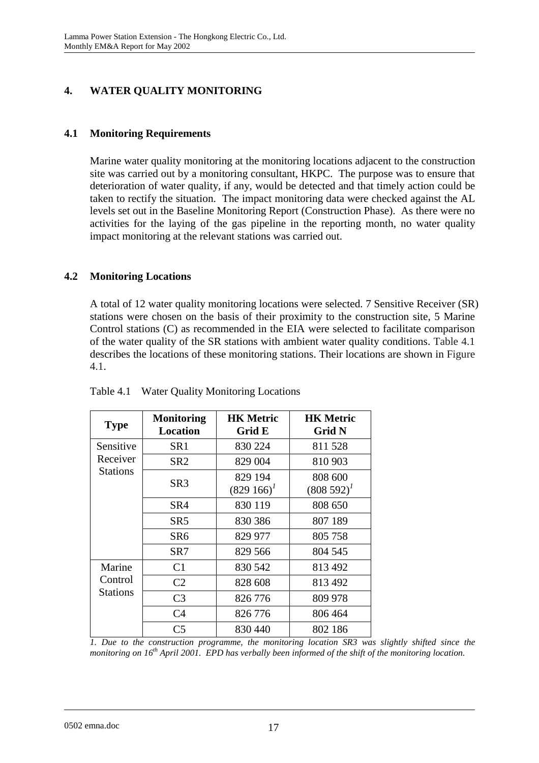# **4. WATER QUALITY MONITORING**

## **4.1 Monitoring Requirements**

Marine water quality monitoring at the monitoring locations adjacent to the construction site was carried out by a monitoring consultant, HKPC. The purpose was to ensure that deterioration of water quality, if any, would be detected and that timely action could be taken to rectify the situation. The impact monitoring data were checked against the AL levels set out in the Baseline Monitoring Report (Construction Phase). As there were no activities for the laying of the gas pipeline in the reporting month, no water quality impact monitoring at the relevant stations was carried out.

### **4.2 Monitoring Locations**

A total of 12 water quality monitoring locations were selected. 7 Sensitive Receiver (SR) stations were chosen on the basis of their proximity to the construction site, 5 Marine Control stations (C) as recommended in the EIA were selected to facilitate comparison of the water quality of the SR stations with ambient water quality conditions. Table 4.1 describes the locations of these monitoring stations. Their locations are shown in Figure 4.1.

| <b>Type</b>                | <b>Monitoring</b><br><b>Location</b> | <b>HK Metric</b><br>Grid E | <b>HK Metric</b><br><b>Grid N</b> |
|----------------------------|--------------------------------------|----------------------------|-----------------------------------|
| Sensitive                  | SR <sub>1</sub>                      | 830 224                    | 811528                            |
| Receiver                   | SR <sub>2</sub>                      | 829 004                    | 810 903                           |
| <b>Stations</b>            | SR <sub>3</sub>                      | 829 194<br>$(829166)^T$    | 808 600<br>$(808592)^{1}$         |
|                            | SR4                                  | 830 119                    | 808 650                           |
|                            | SR <sub>5</sub>                      | 830 386                    | 807 189                           |
|                            | SR6                                  | 829 977                    | 805 758                           |
|                            | SR7                                  | 829 566                    | 804 545                           |
| Marine                     | C <sub>1</sub>                       | 830 542                    | 813 492                           |
| Control<br><b>Stations</b> | C <sub>2</sub>                       | 828 608                    | 813 492                           |
|                            | C <sub>3</sub>                       | 826 776                    | 809 978                           |
|                            | C <sub>4</sub>                       | 826 776                    | 806 464                           |
|                            | C <sub>5</sub>                       | 830 440                    | 802 186                           |

Table 4.1 Water Quality Monitoring Locations

*1. Due to the construction programme, the monitoring location SR3 was slightly shifted since the monitoring on 16th April 2001. EPD has verbally been informed of the shift of the monitoring location.*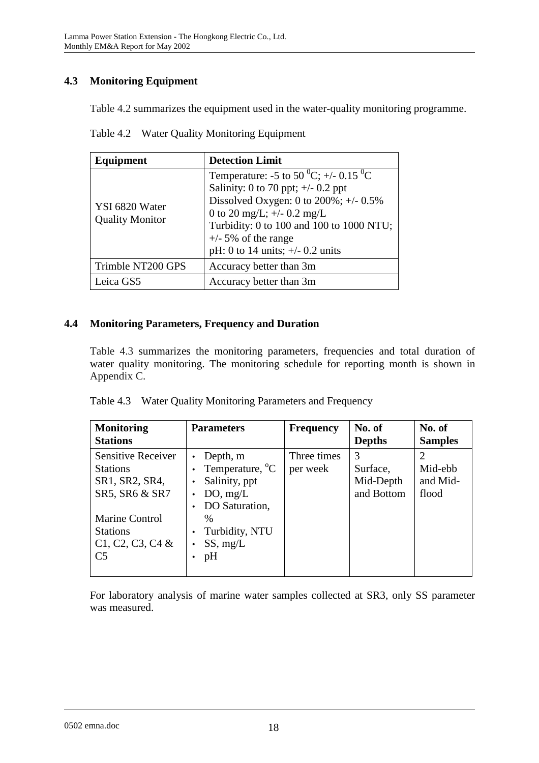# **4.3 Monitoring Equipment**

Table 4.2 summarizes the equipment used in the water-quality monitoring programme.

|  |  | Table 4.2 Water Quality Monitoring Equipment |  |
|--|--|----------------------------------------------|--|
|--|--|----------------------------------------------|--|

| Equipment                                | <b>Detection Limit</b>                                                                                                                                                                                                                                                          |  |
|------------------------------------------|---------------------------------------------------------------------------------------------------------------------------------------------------------------------------------------------------------------------------------------------------------------------------------|--|
| YSI 6820 Water<br><b>Quality Monitor</b> | Temperature: -5 to 50 $^0C$ ; +/- 0.15 $^0C$<br>Salinity: 0 to 70 ppt; $\pm$ /- 0.2 ppt<br>Dissolved Oxygen: 0 to $200\%$ ; +/- 0.5%<br>0 to 20 mg/L; $+/- 0.2$ mg/L<br>Turbidity: 0 to 100 and 100 to 1000 NTU;<br>$+/-$ 5% of the range<br>pH: 0 to 14 units; $+/- 0.2$ units |  |
| Trimble NT200 GPS                        | Accuracy better than 3m                                                                                                                                                                                                                                                         |  |
| Leica GS5                                | Accuracy better than 3m                                                                                                                                                                                                                                                         |  |

### **4.4 Monitoring Parameters, Frequency and Duration**

Table 4.3 summarizes the monitoring parameters, frequencies and total duration of water quality monitoring. The monitoring schedule for reporting month is shown in Appendix C.

|  |  | Table 4.3 Water Quality Monitoring Parameters and Frequency |  |
|--|--|-------------------------------------------------------------|--|
|--|--|-------------------------------------------------------------|--|

| <b>Monitoring</b><br><b>Stations</b>                                                                                                                               | <b>Parameters</b>                                                                                                                           | <b>Frequency</b>        | No. of<br><b>Depths</b>                  | No. of<br><b>Samples</b>                                    |
|--------------------------------------------------------------------------------------------------------------------------------------------------------------------|---------------------------------------------------------------------------------------------------------------------------------------------|-------------------------|------------------------------------------|-------------------------------------------------------------|
| <b>Sensitive Receiver</b><br><b>Stations</b><br>SR1, SR2, SR4,<br>SR5, SR6 & SR7<br><b>Marine Control</b><br><b>Stations</b><br>C1, C2, C3, C4 &<br>C <sub>5</sub> | Depth, m<br>Temperature, <sup>o</sup> C<br>Salinity, ppt<br>DO, mg/L<br>DO Saturation,<br>$\frac{0}{0}$<br>Turbidity, NTU<br>SS, mg/L<br>pH | Three times<br>per week | 3<br>Surface,<br>Mid-Depth<br>and Bottom | $\mathcal{D}_{\mathcal{A}}$<br>Mid-ebb<br>and Mid-<br>flood |

For laboratory analysis of marine water samples collected at SR3, only SS parameter was measured.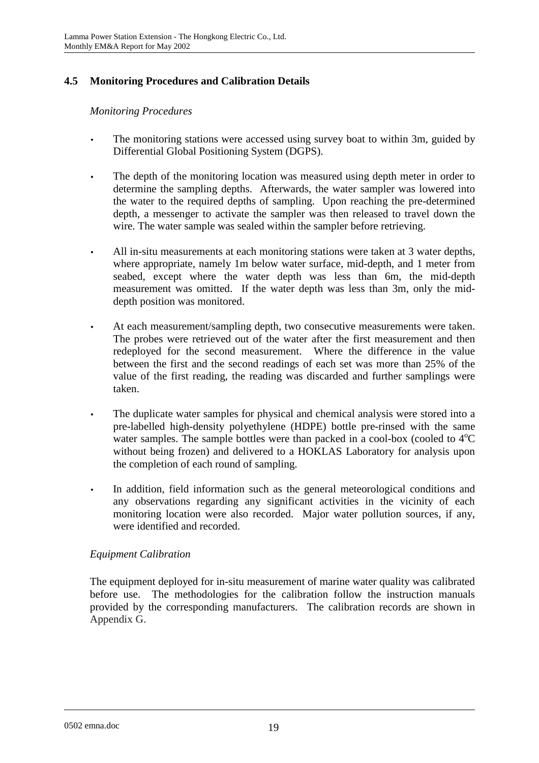# **4.5 Monitoring Procedures and Calibration Details**

#### *Monitoring Procedures*

- The monitoring stations were accessed using survey boat to within 3m, guided by Differential Global Positioning System (DGPS).
- The depth of the monitoring location was measured using depth meter in order to determine the sampling depths. Afterwards, the water sampler was lowered into the water to the required depths of sampling. Upon reaching the pre-determined depth, a messenger to activate the sampler was then released to travel down the wire. The water sample was sealed within the sampler before retrieving.
- All in-situ measurements at each monitoring stations were taken at 3 water depths, where appropriate, namely 1m below water surface, mid-depth, and 1 meter from seabed, except where the water depth was less than 6m, the mid-depth measurement was omitted. If the water depth was less than 3m, only the middepth position was monitored.
- At each measurement/sampling depth, two consecutive measurements were taken. The probes were retrieved out of the water after the first measurement and then redeployed for the second measurement. Where the difference in the value between the first and the second readings of each set was more than 25% of the value of the first reading, the reading was discarded and further samplings were taken.
- The duplicate water samples for physical and chemical analysis were stored into a pre-labelled high-density polyethylene (HDPE) bottle pre-rinsed with the same water samples. The sample bottles were than packed in a cool-box (cooled to  $4^{\circ}C$ without being frozen) and delivered to a HOKLAS Laboratory for analysis upon the completion of each round of sampling.
- In addition, field information such as the general meteorological conditions and any observations regarding any significant activities in the vicinity of each monitoring location were also recorded. Major water pollution sources, if any, were identified and recorded.

### *Equipment Calibration*

The equipment deployed for in-situ measurement of marine water quality was calibrated before use. The methodologies for the calibration follow the instruction manuals provided by the corresponding manufacturers. The calibration records are shown in Appendix G.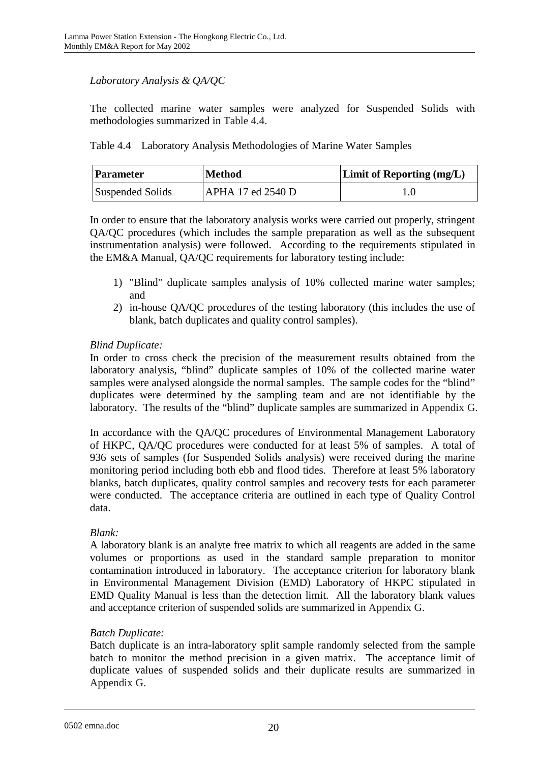# *Laboratory Analysis & QA/QC*

The collected marine water samples were analyzed for Suspended Solids with methodologies summarized in Table 4.4.

Table 4.4 Laboratory Analysis Methodologies of Marine Water Samples

| Parameter        | <b>Method</b>     | <b>Limit of Reporting (mg/L)</b> |
|------------------|-------------------|----------------------------------|
| Suspended Solids | APHA 17 ed 2540 D |                                  |

In order to ensure that the laboratory analysis works were carried out properly, stringent QA/QC procedures (which includes the sample preparation as well as the subsequent instrumentation analysis) were followed. According to the requirements stipulated in the EM&A Manual, QA/QC requirements for laboratory testing include:

- 1) "Blind" duplicate samples analysis of 10% collected marine water samples; and
- 2) in-house QA/QC procedures of the testing laboratory (this includes the use of blank, batch duplicates and quality control samples).

## *Blind Duplicate:*

In order to cross check the precision of the measurement results obtained from the laboratory analysis, "blind" duplicate samples of 10% of the collected marine water samples were analysed alongside the normal samples. The sample codes for the "blind" duplicates were determined by the sampling team and are not identifiable by the laboratory. The results of the "blind" duplicate samples are summarized in Appendix G.

In accordance with the QA/QC procedures of Environmental Management Laboratory of HKPC, QA/QC procedures were conducted for at least 5% of samples. A total of 936 sets of samples (for Suspended Solids analysis) were received during the marine monitoring period including both ebb and flood tides. Therefore at least 5% laboratory blanks, batch duplicates, quality control samples and recovery tests for each parameter were conducted. The acceptance criteria are outlined in each type of Quality Control data.

### *Blank:*

A laboratory blank is an analyte free matrix to which all reagents are added in the same volumes or proportions as used in the standard sample preparation to monitor contamination introduced in laboratory. The acceptance criterion for laboratory blank in Environmental Management Division (EMD) Laboratory of HKPC stipulated in EMD Quality Manual is less than the detection limit. All the laboratory blank values and acceptance criterion of suspended solids are summarized in Appendix G.

### *Batch Duplicate:*

Batch duplicate is an intra-laboratory split sample randomly selected from the sample batch to monitor the method precision in a given matrix. The acceptance limit of duplicate values of suspended solids and their duplicate results are summarized in Appendix G.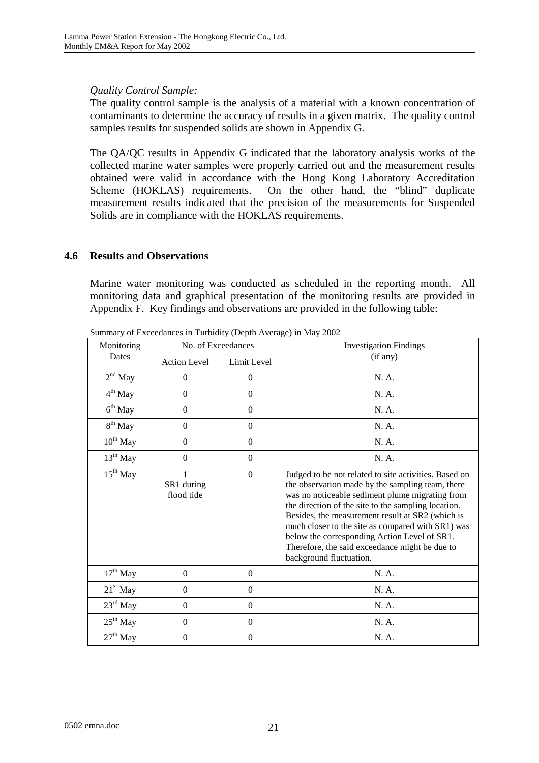### *Quality Control Sample:*

The quality control sample is the analysis of a material with a known concentration of contaminants to determine the accuracy of results in a given matrix. The quality control samples results for suspended solids are shown in Appendix G.

The QA/QC results in Appendix G indicated that the laboratory analysis works of the collected marine water samples were properly carried out and the measurement results obtained were valid in accordance with the Hong Kong Laboratory Accreditation Scheme (HOKLAS) requirements. On the other hand, the "blind" duplicate measurement results indicated that the precision of the measurements for Suspended Solids are in compliance with the HOKLAS requirements.

#### **4.6 Results and Observations**

Marine water monitoring was conducted as scheduled in the reporting month. All monitoring data and graphical presentation of the monitoring results are provided in Appendix F. Key findings and observations are provided in the following table:

| Monitoring           | No. of Exceedances       |                  | <b>Investigation Findings</b>                                                                                                                                                                                                                                                                                                                                                                                                                             |  |
|----------------------|--------------------------|------------------|-----------------------------------------------------------------------------------------------------------------------------------------------------------------------------------------------------------------------------------------------------------------------------------------------------------------------------------------------------------------------------------------------------------------------------------------------------------|--|
| Dates                | <b>Action Level</b>      | Limit Level      | (if any)                                                                                                                                                                                                                                                                                                                                                                                                                                                  |  |
| $2nd$ May            | $\boldsymbol{0}$         | $\theta$         | N. A.                                                                                                                                                                                                                                                                                                                                                                                                                                                     |  |
| 4 <sup>th</sup> May  | $\boldsymbol{0}$         | $\theta$         | N. A.                                                                                                                                                                                                                                                                                                                                                                                                                                                     |  |
| $6th$ May            | $\boldsymbol{0}$         | $\theta$         | N. A.                                                                                                                                                                                                                                                                                                                                                                                                                                                     |  |
| $8th$ May            | $\boldsymbol{0}$         | $\theta$         | N. A.                                                                                                                                                                                                                                                                                                                                                                                                                                                     |  |
| $10^{\rm th}$ May    | $\boldsymbol{0}$         | $\boldsymbol{0}$ | N. A.                                                                                                                                                                                                                                                                                                                                                                                                                                                     |  |
| $13^{\rm th}$ May    | $\boldsymbol{0}$         | $\boldsymbol{0}$ | N. A.                                                                                                                                                                                                                                                                                                                                                                                                                                                     |  |
| $15^{th}$ May        | SR1 during<br>flood tide | $\Omega$         | Judged to be not related to site activities. Based on<br>the observation made by the sampling team, there<br>was no noticeable sediment plume migrating from<br>the direction of the site to the sampling location.<br>Besides, the measurement result at SR2 (which is<br>much closer to the site as compared with SR1) was<br>below the corresponding Action Level of SR1.<br>Therefore, the said exceedance might be due to<br>background fluctuation. |  |
| $17th$ May           | $\mathbf{0}$             | $\boldsymbol{0}$ | N. A.                                                                                                                                                                                                                                                                                                                                                                                                                                                     |  |
| $21st$ May           | $\mathbf{0}$             | $\theta$         | N. A.                                                                                                                                                                                                                                                                                                                                                                                                                                                     |  |
| $23^{\text{rd}}$ May | $\boldsymbol{0}$         | $\boldsymbol{0}$ | N. A.                                                                                                                                                                                                                                                                                                                                                                                                                                                     |  |
| $25th$ May           | $\boldsymbol{0}$         | $\boldsymbol{0}$ | N. A.                                                                                                                                                                                                                                                                                                                                                                                                                                                     |  |
| $27^{\text{th}}$ May | $\boldsymbol{0}$         | $\boldsymbol{0}$ | N. A.                                                                                                                                                                                                                                                                                                                                                                                                                                                     |  |

Summary of Exceedances in Turbidity (Depth Average) in May 2002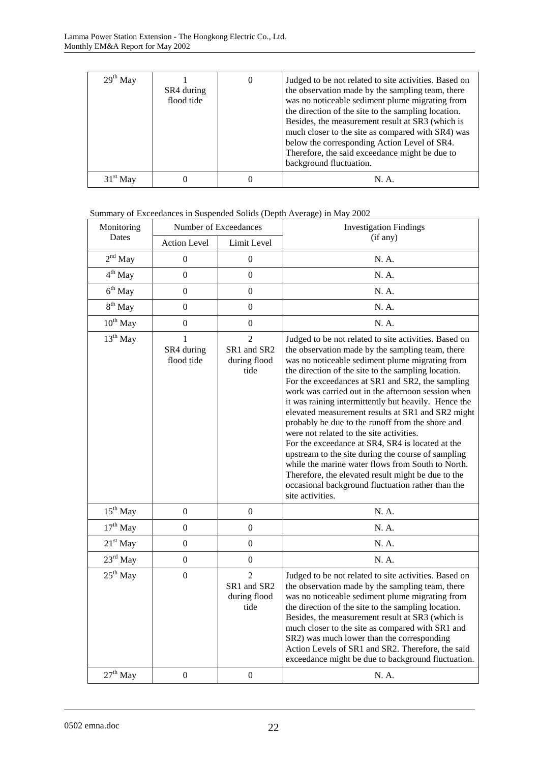| $29th$ May | SR4 during<br>flood tide | Judged to be not related to site activities. Based on<br>the observation made by the sampling team, there<br>was no noticeable sediment plume migrating from<br>the direction of the site to the sampling location.<br>Besides, the measurement result at SR3 (which is<br>much closer to the site as compared with SR4) was<br>below the corresponding Action Level of SR4.<br>Therefore, the said exceedance might be due to<br>background fluctuation. |
|------------|--------------------------|-----------------------------------------------------------------------------------------------------------------------------------------------------------------------------------------------------------------------------------------------------------------------------------------------------------------------------------------------------------------------------------------------------------------------------------------------------------|
|            |                          | N.A                                                                                                                                                                                                                                                                                                                                                                                                                                                       |

#### Summary of Exceedances in Suspended Solids (Depth Average) in May 2002

| Monitoring           | Number of Exceedances         |                                                       | <b>Investigation Findings</b>                                                                                                                                                                                                                                                                                                                                                                                                                                                                                                                                                                                                                                                                                                                                                                                                            |  |
|----------------------|-------------------------------|-------------------------------------------------------|------------------------------------------------------------------------------------------------------------------------------------------------------------------------------------------------------------------------------------------------------------------------------------------------------------------------------------------------------------------------------------------------------------------------------------------------------------------------------------------------------------------------------------------------------------------------------------------------------------------------------------------------------------------------------------------------------------------------------------------------------------------------------------------------------------------------------------------|--|
| Dates                | <b>Action Level</b>           | Limit Level                                           | (if any)                                                                                                                                                                                                                                                                                                                                                                                                                                                                                                                                                                                                                                                                                                                                                                                                                                 |  |
| $2nd$ May            | $\mathbf{0}$                  | $\boldsymbol{0}$                                      | N. A.                                                                                                                                                                                                                                                                                                                                                                                                                                                                                                                                                                                                                                                                                                                                                                                                                                    |  |
| $4^{\text{th}}$ May  | $\overline{0}$                | $\overline{0}$                                        | N. A.                                                                                                                                                                                                                                                                                                                                                                                                                                                                                                                                                                                                                                                                                                                                                                                                                                    |  |
| $6th$ May            | $\overline{0}$                | $\boldsymbol{0}$                                      | N. A.                                                                                                                                                                                                                                                                                                                                                                                                                                                                                                                                                                                                                                                                                                                                                                                                                                    |  |
| $8^{th}$ May         | $\overline{0}$                | $\overline{0}$                                        | N. A.                                                                                                                                                                                                                                                                                                                                                                                                                                                                                                                                                                                                                                                                                                                                                                                                                                    |  |
| $10^{\rm th}$ May    | $\boldsymbol{0}$              | $\boldsymbol{0}$                                      | N. A.                                                                                                                                                                                                                                                                                                                                                                                                                                                                                                                                                                                                                                                                                                                                                                                                                                    |  |
| $13^{th}$ May        | 1<br>SR4 during<br>flood tide | $\overline{2}$<br>SR1 and SR2<br>during flood<br>tide | Judged to be not related to site activities. Based on<br>the observation made by the sampling team, there<br>was no noticeable sediment plume migrating from<br>the direction of the site to the sampling location.<br>For the exceedances at SR1 and SR2, the sampling<br>work was carried out in the afternoon session when<br>it was raining intermittently but heavily. Hence the<br>elevated measurement results at SR1 and SR2 might<br>probably be due to the runoff from the shore and<br>were not related to the site activities.<br>For the exceedance at SR4, SR4 is located at the<br>upstream to the site during the course of sampling<br>while the marine water flows from South to North.<br>Therefore, the elevated result might be due to the<br>occasional background fluctuation rather than the<br>site activities. |  |
| $15^{\text{th}}$ May | $\boldsymbol{0}$              | $\boldsymbol{0}$                                      | N. A.                                                                                                                                                                                                                                                                                                                                                                                                                                                                                                                                                                                                                                                                                                                                                                                                                                    |  |
| $17th$ May           | $\overline{0}$                | $\overline{0}$                                        | N. A.                                                                                                                                                                                                                                                                                                                                                                                                                                                                                                                                                                                                                                                                                                                                                                                                                                    |  |
| $21st$ May           | $\overline{0}$                | $\mathbf{0}$                                          | N. A.                                                                                                                                                                                                                                                                                                                                                                                                                                                                                                                                                                                                                                                                                                                                                                                                                                    |  |
| 23rd May             | $\boldsymbol{0}$              | $\mathbf{0}$                                          | N. A.                                                                                                                                                                                                                                                                                                                                                                                                                                                                                                                                                                                                                                                                                                                                                                                                                                    |  |
| $25th$ May           | $\boldsymbol{0}$              | $\overline{2}$<br>SR1 and SR2<br>during flood<br>tide | Judged to be not related to site activities. Based on<br>the observation made by the sampling team, there<br>was no noticeable sediment plume migrating from<br>the direction of the site to the sampling location.<br>Besides, the measurement result at SR3 (which is<br>much closer to the site as compared with SR1 and<br>SR2) was much lower than the corresponding<br>Action Levels of SR1 and SR2. Therefore, the said<br>exceedance might be due to background fluctuation.                                                                                                                                                                                                                                                                                                                                                     |  |
| $27th$ May           | $\mathbf{0}$                  | $\mathbf{0}$                                          | N. A.                                                                                                                                                                                                                                                                                                                                                                                                                                                                                                                                                                                                                                                                                                                                                                                                                                    |  |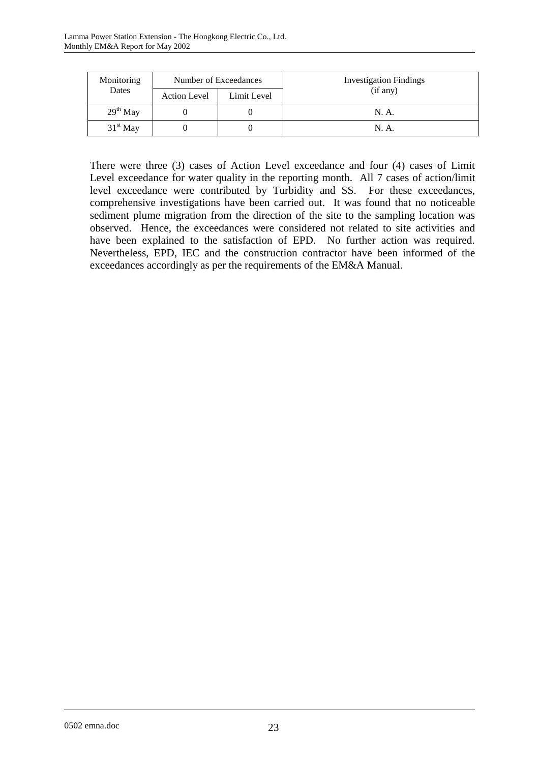| Monitoring | Number of Exceedances              |          | <b>Investigation Findings</b> |
|------------|------------------------------------|----------|-------------------------------|
| Dates      | Limit Level<br><b>Action Level</b> | (if any) |                               |
| $29th$ May |                                    |          | N. A.                         |
| $31st$ May |                                    |          | N. A.                         |

There were three (3) cases of Action Level exceedance and four (4) cases of Limit Level exceedance for water quality in the reporting month. All 7 cases of action/limit level exceedance were contributed by Turbidity and SS. For these exceedances, comprehensive investigations have been carried out. It was found that no noticeable sediment plume migration from the direction of the site to the sampling location was observed. Hence, the exceedances were considered not related to site activities and have been explained to the satisfaction of EPD. No further action was required. Nevertheless, EPD, IEC and the construction contractor have been informed of the exceedances accordingly as per the requirements of the EM&A Manual.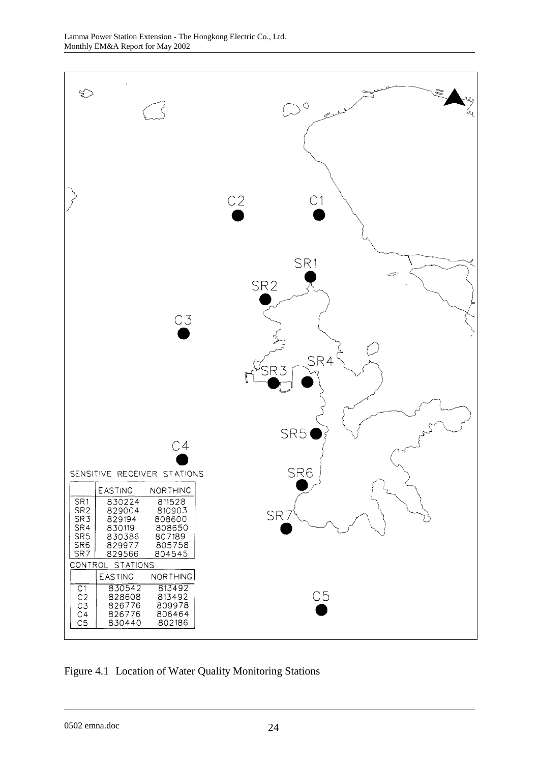

Figure 4.1 Location of Water Quality Monitoring Stations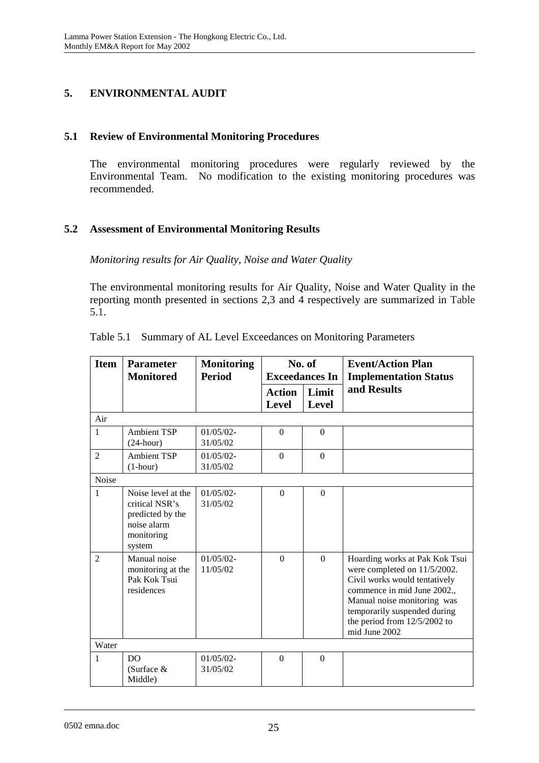# **5. ENVIRONMENTAL AUDIT**

### **5.1 Review of Environmental Monitoring Procedures**

The environmental monitoring procedures were regularly reviewed by the Environmental Team. No modification to the existing monitoring procedures was recommended.

#### **5.2 Assessment of Environmental Monitoring Results**

*Monitoring results for Air Quality, Noise and Water Quality* 

The environmental monitoring results for Air Quality, Noise and Water Quality in the reporting month presented in sections 2,3 and 4 respectively are summarized in Table 5.1.

| <b>Item</b>    | <b>Parameter</b><br><b>Monitored</b>                                                            | <b>Monitoring</b><br><b>Period</b> | No. of<br><b>Exceedances In</b> |                       | <b>Event/Action Plan</b><br><b>Implementation Status</b>                                                                                                                                                                                         |
|----------------|-------------------------------------------------------------------------------------------------|------------------------------------|---------------------------------|-----------------------|--------------------------------------------------------------------------------------------------------------------------------------------------------------------------------------------------------------------------------------------------|
|                |                                                                                                 |                                    | <b>Action</b><br><b>Level</b>   | Limit<br><b>Level</b> | and Results                                                                                                                                                                                                                                      |
| Air            |                                                                                                 |                                    |                                 |                       |                                                                                                                                                                                                                                                  |
| 1              | <b>Ambient TSP</b><br>$(24$ -hour)                                                              | $01/05/02$ -<br>31/05/02           | $\Omega$                        | $\Omega$              |                                                                                                                                                                                                                                                  |
| $\overline{2}$ | <b>Ambient TSP</b><br>$(1-hour)$                                                                | $01/05/02 -$<br>31/05/02           | $\overline{0}$                  | $\mathbf{0}$          |                                                                                                                                                                                                                                                  |
| Noise          |                                                                                                 |                                    |                                 |                       |                                                                                                                                                                                                                                                  |
| $\mathbf{1}$   | Noise level at the<br>critical NSR's<br>predicted by the<br>noise alarm<br>monitoring<br>system | $01/05/02$ -<br>31/05/02           | $\Omega$                        | $\Omega$              |                                                                                                                                                                                                                                                  |
| $\mathfrak{D}$ | Manual noise<br>monitoring at the<br>Pak Kok Tsui<br>residences                                 | $01/05/02$ -<br>11/05/02           | $\Omega$                        | $\Omega$              | Hoarding works at Pak Kok Tsui<br>were completed on 11/5/2002.<br>Civil works would tentatively<br>commence in mid June 2002.,<br>Manual noise monitoring was<br>temporarily suspended during<br>the period from $12/5/2002$ to<br>mid June 2002 |
| Water          |                                                                                                 |                                    |                                 |                       |                                                                                                                                                                                                                                                  |
| $\mathbf{1}$   | D <sub>O</sub><br>(Surface $&$<br>Middle)                                                       | $01/05/02 -$<br>31/05/02           | $\Omega$                        | $\Omega$              |                                                                                                                                                                                                                                                  |

Table 5.1 Summary of AL Level Exceedances on Monitoring Parameters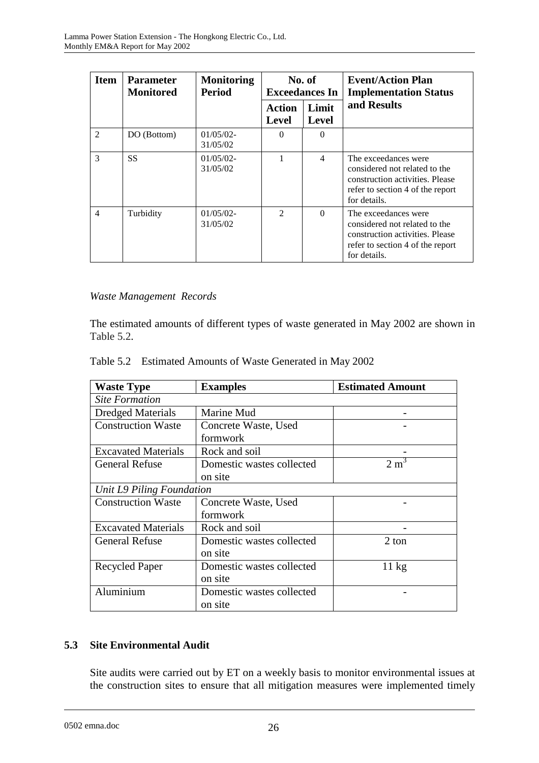| <b>Item</b>    | <b>Parameter</b><br>Monitored | <b>Monitoring</b><br><b>Period</b> | No. of<br><b>Exceedances In</b> |                | <b>Event/Action Plan</b><br><b>Implementation Status</b>                                                                                     |
|----------------|-------------------------------|------------------------------------|---------------------------------|----------------|----------------------------------------------------------------------------------------------------------------------------------------------|
|                |                               |                                    | Action<br>Level                 | Limit<br>Level | and Results                                                                                                                                  |
| $\mathfrak{D}$ | DO (Bottom)                   | $01/05/02$ -<br>31/05/02           | $\Omega$                        | $\Omega$       |                                                                                                                                              |
| 3              | <b>SS</b>                     | $01/05/02$ -<br>31/05/02           |                                 | 4              | The exceedances were<br>considered not related to the<br>construction activities. Please<br>refer to section 4 of the report<br>for details. |
| $\overline{4}$ | Turbidity                     | $01/05/02$ -<br>31/05/02           | $\mathcal{D}_{\mathcal{L}}$     | $\Omega$       | The exceedances were<br>considered not related to the<br>construction activities. Please<br>refer to section 4 of the report<br>for details. |

### *Waste Management Records*

The estimated amounts of different types of waste generated in May 2002 are shown in Table 5.2.

| Table 5.2 Estimated Amounts of Waste Generated in May 2002 |  |  |
|------------------------------------------------------------|--|--|
|                                                            |  |  |

| <b>Waste Type</b>          | <b>Examples</b>           | <b>Estimated Amount</b> |  |  |  |
|----------------------------|---------------------------|-------------------------|--|--|--|
| <b>Site Formation</b>      |                           |                         |  |  |  |
| <b>Dredged Materials</b>   | Marine Mud                |                         |  |  |  |
| <b>Construction Waste</b>  | Concrete Waste, Used      |                         |  |  |  |
|                            | formwork                  |                         |  |  |  |
| <b>Excavated Materials</b> | Rock and soil             |                         |  |  |  |
| <b>General Refuse</b>      | Domestic wastes collected | 2 m <sup>3</sup>        |  |  |  |
|                            | on site                   |                         |  |  |  |
| Unit L9 Piling Foundation  |                           |                         |  |  |  |
| <b>Construction Waste</b>  | Concrete Waste, Used      |                         |  |  |  |
|                            | formwork                  |                         |  |  |  |
| <b>Excavated Materials</b> | Rock and soil             |                         |  |  |  |
| <b>General Refuse</b>      | Domestic wastes collected | 2 ton                   |  |  |  |
|                            | on site                   |                         |  |  |  |
| <b>Recycled Paper</b>      | Domestic wastes collected | $11 \text{ kg}$         |  |  |  |
|                            | on site                   |                         |  |  |  |
| Aluminium                  | Domestic wastes collected |                         |  |  |  |
|                            | on site                   |                         |  |  |  |

# **5.3 Site Environmental Audit**

Site audits were carried out by ET on a weekly basis to monitor environmental issues at the construction sites to ensure that all mitigation measures were implemented timely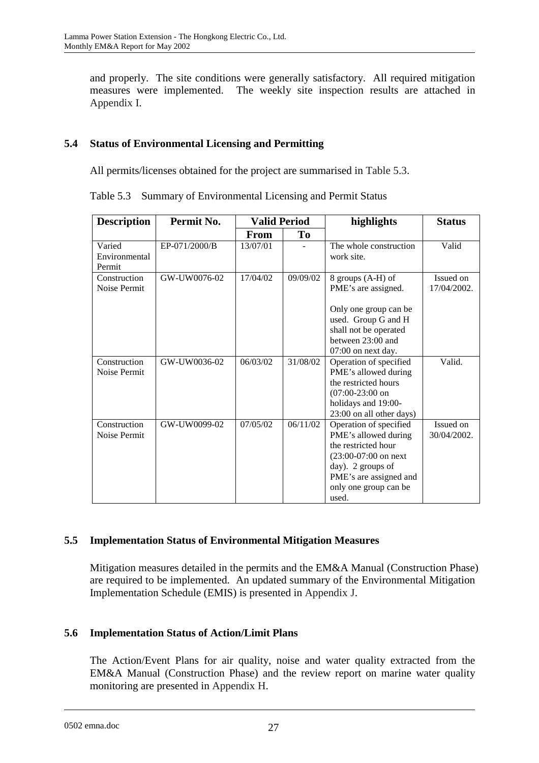and properly. The site conditions were generally satisfactory. All required mitigation measures were implemented. The weekly site inspection results are attached in Appendix I.

# **5.4 Status of Environmental Licensing and Permitting**

All permits/licenses obtained for the project are summarised in Table 5.3.

Table 5.3 Summary of Environmental Licensing and Permit Status

| <b>Description</b>                | Permit No.    | <b>Valid Period</b> |          | highlights                                                                                                                                                                        | <b>Status</b>            |
|-----------------------------------|---------------|---------------------|----------|-----------------------------------------------------------------------------------------------------------------------------------------------------------------------------------|--------------------------|
|                                   |               | <b>From</b>         | To       |                                                                                                                                                                                   |                          |
| Varied<br>Environmental<br>Permit | EP-071/2000/B | 13/07/01            |          | The whole construction<br>work site.                                                                                                                                              | Valid                    |
| Construction<br>Noise Permit      | GW-UW0076-02  | 17/04/02            | 09/09/02 | 8 groups (A-H) of<br>PME's are assigned.<br>Only one group can be<br>used. Group G and H<br>shall not be operated<br>between 23:00 and<br>07:00 on next day.                      | Issued on<br>17/04/2002. |
| Construction<br>Noise Permit      | GW-UW0036-02  | 06/03/02            | 31/08/02 | Operation of specified<br>PME's allowed during<br>the restricted hours<br>$(07:00-23:00)$ on<br>holidays and 19:00-<br>23:00 on all other days)                                   | Valid.                   |
| Construction<br>Noise Permit      | GW-UW0099-02  | 07/05/02            | 06/11/02 | Operation of specified<br>PME's allowed during<br>the restricted hour<br>$(23:00-07:00)$ on next<br>day). 2 groups of<br>PME's are assigned and<br>only one group can be<br>used. | Issued on<br>30/04/2002. |

### **5.5 Implementation Status of Environmental Mitigation Measures**

Mitigation measures detailed in the permits and the EM&A Manual (Construction Phase) are required to be implemented. An updated summary of the Environmental Mitigation Implementation Schedule (EMIS) is presented in Appendix J.

### **5.6 Implementation Status of Action/Limit Plans**

The Action/Event Plans for air quality, noise and water quality extracted from the EM&A Manual (Construction Phase) and the review report on marine water quality monitoring are presented in Appendix H.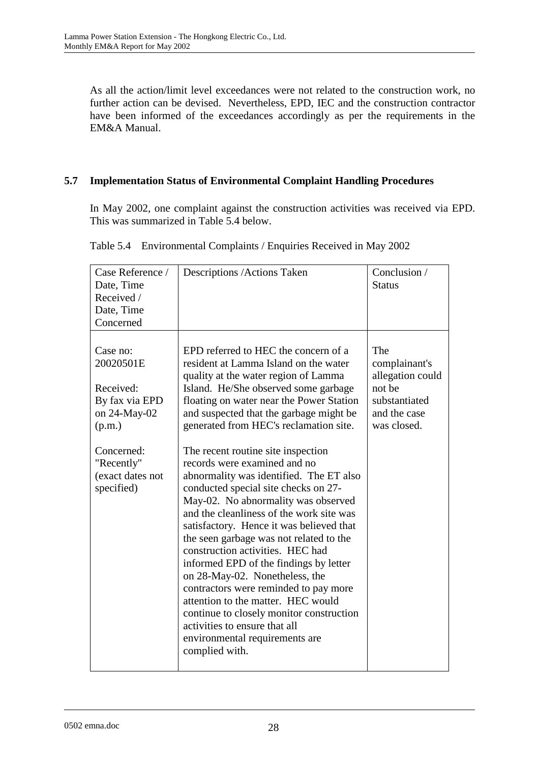As all the action/limit level exceedances were not related to the construction work, no further action can be devised. Nevertheless, EPD, IEC and the construction contractor have been informed of the exceedances accordingly as per the requirements in the EM&A Manual.

# **5.7 Implementation Status of Environmental Complaint Handling Procedures**

In May 2002, one complaint against the construction activities was received via EPD. This was summarized in Table 5.4 below.

| Case Reference /<br>Date, Time<br>Received /<br>Date, Time<br>Concerned                                                                      | Descriptions / Actions Taken                                                                                                                                                                                                                                                                                                                                                                                                                                                                                                                                                                                                                                                                                                                                                                                                                                                                                                                                      | Conclusion /<br><b>Status</b>                                                                      |
|----------------------------------------------------------------------------------------------------------------------------------------------|-------------------------------------------------------------------------------------------------------------------------------------------------------------------------------------------------------------------------------------------------------------------------------------------------------------------------------------------------------------------------------------------------------------------------------------------------------------------------------------------------------------------------------------------------------------------------------------------------------------------------------------------------------------------------------------------------------------------------------------------------------------------------------------------------------------------------------------------------------------------------------------------------------------------------------------------------------------------|----------------------------------------------------------------------------------------------------|
| Case no:<br>20020501E<br>Received:<br>By fax via EPD<br>on 24-May-02<br>(p.m.)<br>Concerned:<br>"Recently"<br>(exact dates not<br>specified) | EPD referred to HEC the concern of a<br>resident at Lamma Island on the water<br>quality at the water region of Lamma<br>Island. He/She observed some garbage<br>floating on water near the Power Station<br>and suspected that the garbage might be<br>generated from HEC's reclamation site.<br>The recent routine site inspection<br>records were examined and no<br>abnormality was identified. The ET also<br>conducted special site checks on 27-<br>May-02. No abnormality was observed<br>and the cleanliness of the work site was<br>satisfactory. Hence it was believed that<br>the seen garbage was not related to the<br>construction activities. HEC had<br>informed EPD of the findings by letter<br>on 28-May-02. Nonetheless, the<br>contractors were reminded to pay more<br>attention to the matter. HEC would<br>continue to closely monitor construction<br>activities to ensure that all<br>environmental requirements are<br>complied with. | The<br>complainant's<br>allegation could<br>not be<br>substantiated<br>and the case<br>was closed. |

Table 5.4 Environmental Complaints / Enquiries Received in May 2002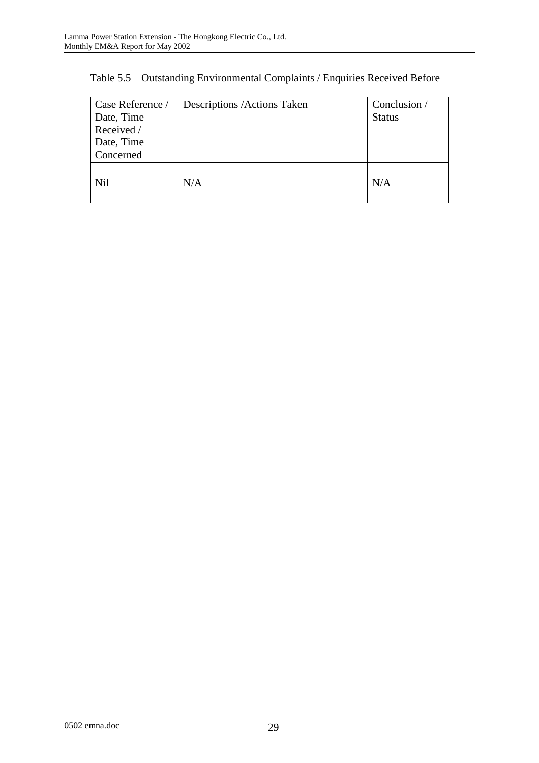| Case Reference /<br>Date, Time<br>Received /<br>Date, Time<br>Concerned | Descriptions / Actions Taken | Conclusion /<br><b>Status</b> |
|-------------------------------------------------------------------------|------------------------------|-------------------------------|
| Nil                                                                     | N/A                          | N/A                           |

Table 5.5 Outstanding Environmental Complaints / Enquiries Received Before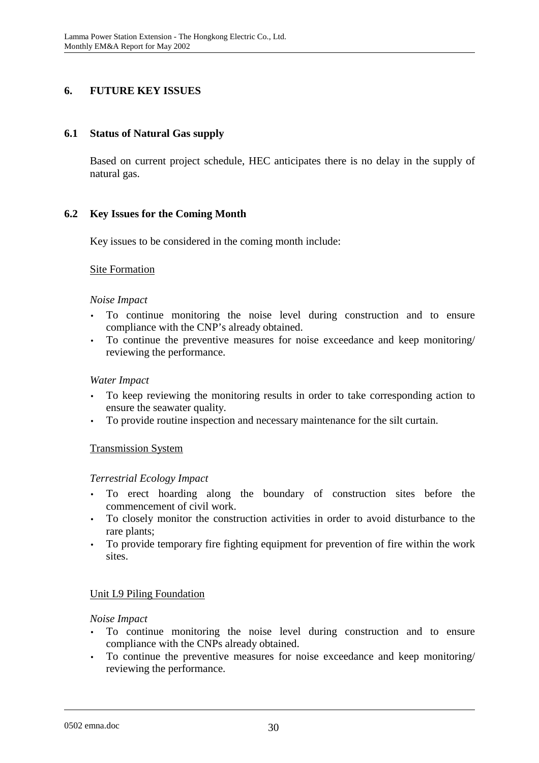# **6. FUTURE KEY ISSUES**

#### **6.1 Status of Natural Gas supply**

Based on current project schedule, HEC anticipates there is no delay in the supply of natural gas.

### **6.2 Key Issues for the Coming Month**

Key issues to be considered in the coming month include:

#### Site Formation

#### *Noise Impact*

- To continue monitoring the noise level during construction and to ensure compliance with the CNP's already obtained.
- To continue the preventive measures for noise exceedance and keep monitoring/ reviewing the performance.

#### *Water Impact*

- To keep reviewing the monitoring results in order to take corresponding action to ensure the seawater quality.
- To provide routine inspection and necessary maintenance for the silt curtain.

#### Transmission System

#### *Terrestrial Ecology Impact*

- To erect hoarding along the boundary of construction sites before the commencement of civil work.
- To closely monitor the construction activities in order to avoid disturbance to the rare plants;
- To provide temporary fire fighting equipment for prevention of fire within the work sites.

### Unit L9 Piling Foundation

#### *Noise Impact*

- To continue monitoring the noise level during construction and to ensure compliance with the CNPs already obtained.
- To continue the preventive measures for noise exceedance and keep monitoring/ reviewing the performance.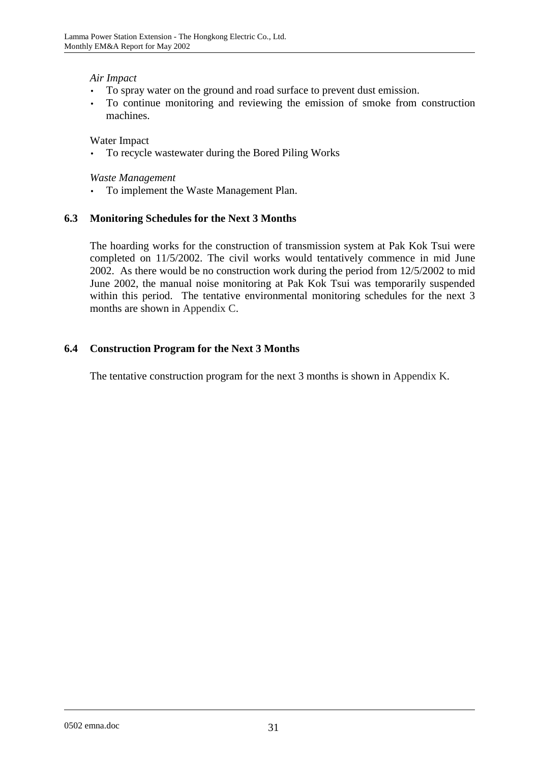### *Air Impact*

- To spray water on the ground and road surface to prevent dust emission.
- To continue monitoring and reviewing the emission of smoke from construction machines.

Water Impact

• To recycle wastewater during the Bored Piling Works

*Waste Management* 

• To implement the Waste Management Plan.

## **6.3 Monitoring Schedules for the Next 3 Months**

The hoarding works for the construction of transmission system at Pak Kok Tsui were completed on 11/5/2002. The civil works would tentatively commence in mid June 2002. As there would be no construction work during the period from 12/5/2002 to mid June 2002, the manual noise monitoring at Pak Kok Tsui was temporarily suspended within this period. The tentative environmental monitoring schedules for the next 3 months are shown in Appendix C.

## **6.4 Construction Program for the Next 3 Months**

The tentative construction program for the next 3 months is shown in Appendix K.